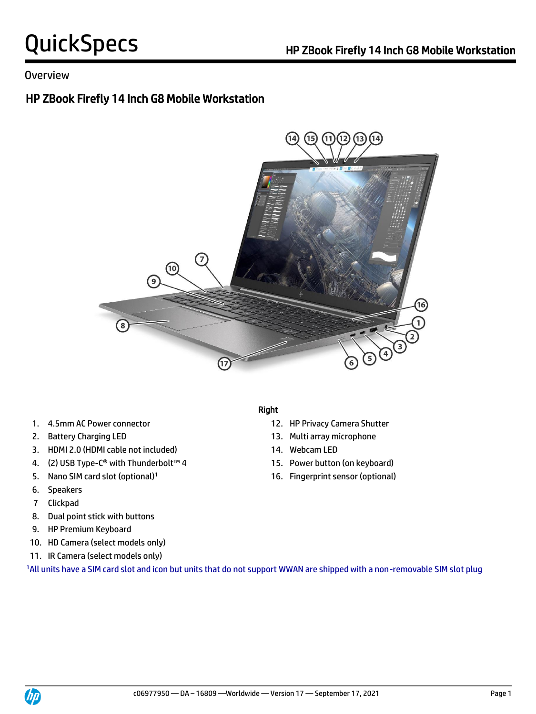## Overview

# HP ZBook Firefly 14 Inch G8 Mobile Workstation



- 
- 
- 3. HDMI 2.0 (HDMI cable not included) 14. Webcam LED
- 4. (2) USB Type-C® with Thunderbolt™ 4 15. Power button (on keyboard)
- 
- 6. Speakers
- 7 Clickpad
- 8. Dual point stick with buttons
- 9. HP Premium Keyboard
- 10. HD Camera (select models only)
- 11. IR Camera (select models only)

1All units have a SIM card slot and icon but units that do not support WWAN are shipped with a non-removable SIM slot plug

#### Right

- 1. 4.5mm AC Power connector 12. HP Privacy Camera Shutter
- 2. Battery Charging LED 13. Multi array microphone
	-
	-
- 5. Nano SIM card slot (optional)<sup>1</sup> 16. Fingerprint sensor (optional)

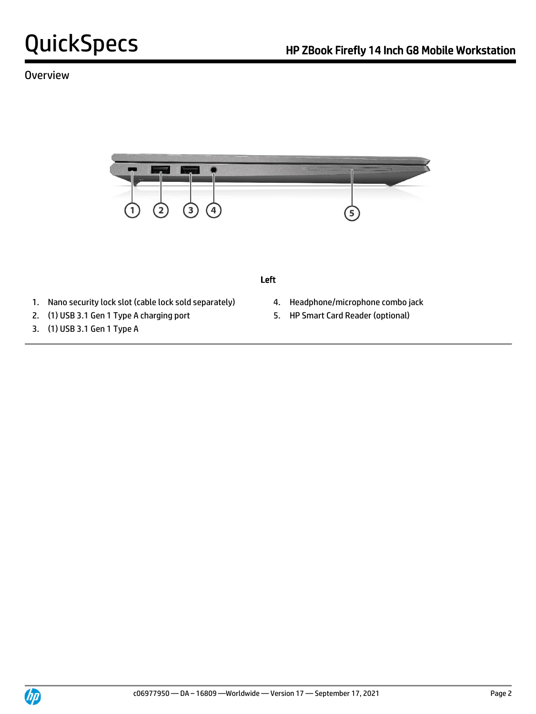# Overview



#### Left

- 1. Nano security lock slot (cable lock sold separately) 4. Headphone/microphone combo jack
- 2. (1) USB 3.1 Gen 1 Type A charging port 5. HP Smart Card Reader (optional)
- 3. (1) USB 3.1 Gen 1 Type A
- 
- 

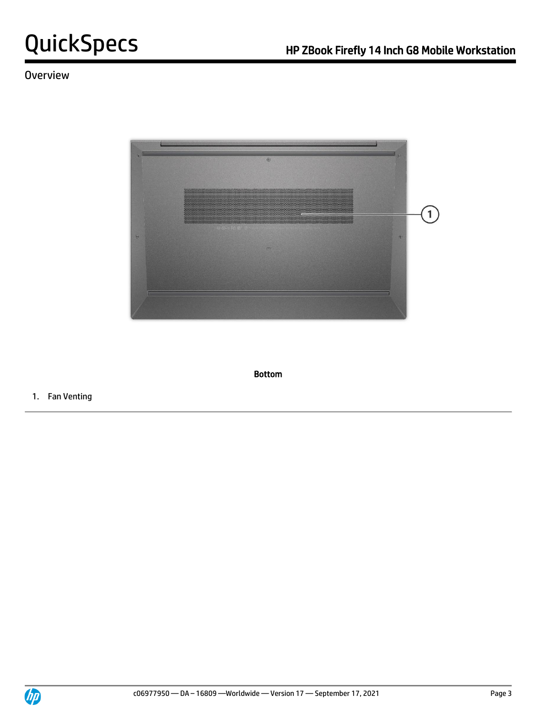# **Overview**



Bottom

1. Fan Venting

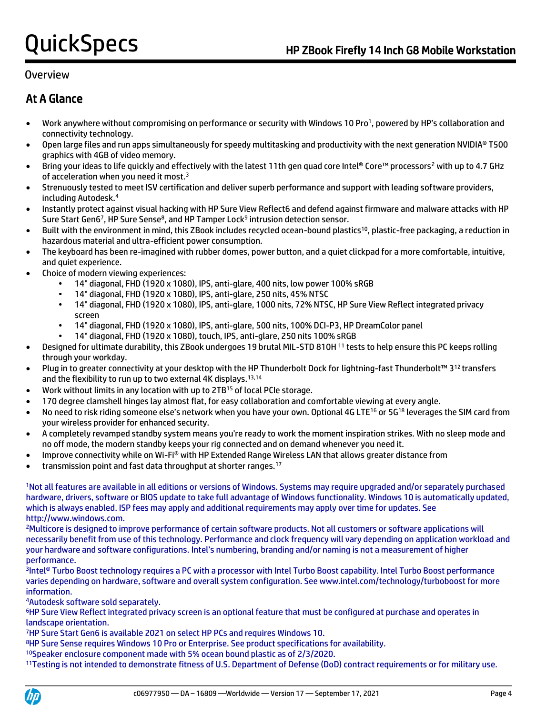## Overview

# At A Glance

- Work anywhere without compromising on performance or security with Windows 10 Pro<sup>1</sup>, powered by HP's collaboration and connectivity technology.
- Open large files and run apps simultaneously for speedy multitasking and productivity with the next generation NVIDIA® T500 graphics with 4GB of video memory.
- Bring your ideas to life quickly and effectively with the latest 11th gen quad core Intel® Core™ processors<sup>2</sup> with up to 4.7 GHz of acceleration when you need it most.<sup>3</sup>
- Strenuously tested to meet ISV certification and deliver superb performance and support with leading software providers, including Autodesk.<sup>4</sup>
- Instantly protect against visual hacking with HP Sure View Reflect6 and defend against firmware and malware attacks with HP Sure Start Gen6<sup>7</sup>, HP Sure Sense<sup>8</sup>, and HP Tamper Lock<sup>9</sup> intrusion detection sensor.
- Built with the environment in mind, this ZBook includes recycled ocean-bound plastics<sup>10</sup>, plastic-free packaging, a reduction in hazardous material and ultra-efficient power consumption.
- The keyboard has been re-imagined with rubber domes, power button, and a quiet clickpad for a more comfortable, intuitive, and quiet experience.
- Choice of modern viewing experiences:
	- 14" diagonal, FHD (1920 x 1080), IPS, anti-glare, 400 nits, low power 100% sRGB
	- 14" diagonal, FHD (1920 x 1080), IPS, anti-glare, 250 nits, 45% NTSC
	- 14" diagonal, FHD (1920 x 1080), IPS, anti-glare, 1000 nits, 72% NTSC, HP Sure View Reflect integrated privacy screen
	- 14" diagonal, FHD (1920 x 1080), IPS, anti-glare, 500 nits, 100% DCI-P3, HP DreamColor panel
	- 14" diagonal, FHD (1920 x 1080), touch, IPS, anti-glare, 250 nits 100% sRGB
- Designed for ultimate durability, this ZBook undergoes 19 brutal MIL-STD 810H <sup>11</sup> tests to help ensure this PC keeps rolling through your workday.
- Plug in to greater connectivity at your desktop with the HP Thunderbolt Dock for lightning-fast Thunderbolt™ 3<sup>12</sup>transfers and the flexibility to run up to two external 4K displays.<sup>13,14</sup>
- Work without limits in any location with up to 2TB<sup>15</sup> of local PCIe storage.
- 170 degree clamshell hinges lay almost flat, for easy collaboration and comfortable viewing at every angle.
- No need to risk riding someone else's network when you have your own. Optional 4G LTE<sup>16</sup> or 5G<sup>18</sup> leverages the SIM card from your wireless provider for enhanced security.
- A completely revamped standby system means you're ready to work the moment inspiration strikes. With no sleep mode and no off mode, the modern standby keeps your rig connected and on demand whenever you need it.
- Improve connectivity while on Wi-Fi® with HP Extended Range Wireless LAN that allows greater distance from
- transmission point and fast data throughput at shorter ranges.<sup>17</sup>

<sup>1</sup>Not all features are available in all editions or versions of Windows. Systems may require upgraded and/or separately purchased hardware, drivers, software or BIOS update to take full advantage of Windows functionality. Windows 10 is automatically updated, which is always enabled. ISP fees may apply and additional requirements may apply over time for updates. See http://www.windows.com.

<sup>2</sup>Multicore is designed to improve performance of certain software products. Not all customers or software applications will necessarily benefit from use of this technology. Performance and clock frequency will vary depending on application workload and your hardware and software configurations. Intel's numbering, branding and/or naming is not a measurement of higher performance.

3 Intel® Turbo Boost technology requires a PC with a processor with Intel Turbo Boost capability. Intel Turbo Boost performance varies depending on hardware, software and overall system configuration. See www.intel.com/technology/turboboost for more information.

<sup>4</sup>Autodesk software sold separately.

<sup>6</sup>HP Sure View Reflect integrated privacy screen is an optional feature that must be configured at purchase and operates in landscape orientation.

<sup>7</sup>HP Sure Start Gen6 is available 2021 on select HP PCs and requires Windows 10.

<sup>8</sup>HP Sure Sense requires Windows 10 Pro or Enterprise. See product specifications for availability.

<sup>10</sup>Speaker enclosure component made with 5% ocean bound plastic as of 2/3/2020.

11Testing is not intended to demonstrate fitness of U.S. Department of Defense (DoD) contract requirements or for military use.

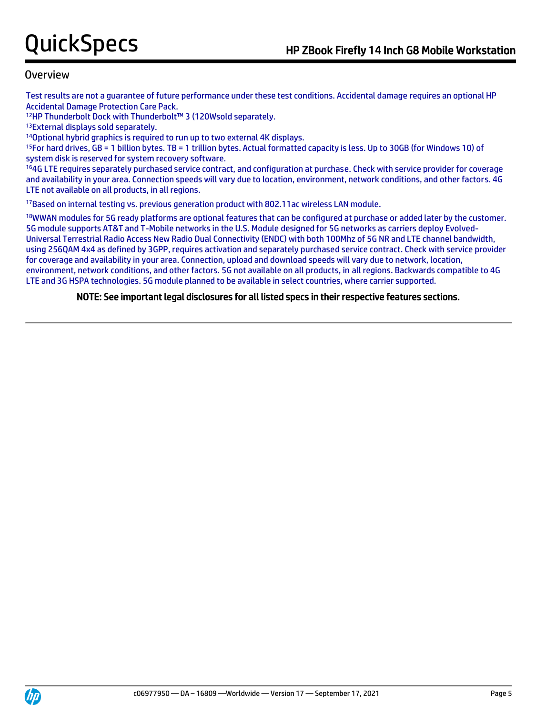### Overview

Test results are not a guarantee of future performance under these test conditions. Accidental damage requires an optional HP Accidental Damage Protection Care Pack.

<sup>12</sup>HP Thunderbolt Dock with Thunderbolt™ 3 (120Wsold separately.

<sup>13</sup>External displays sold separately.

<sup>14</sup>Optional hybrid graphics is required to run up to two external 4K displays.

<sup>15</sup>For hard drives, GB = 1 billion bytes. TB = 1 trillion bytes. Actual formatted capacity is less. Up to 30GB (for Windows 10) of system disk is reserved for system recovery software.

<sup>16</sup>4G LTE requires separately purchased service contract, and configuration at purchase. Check with service provider for coverage and availability in your area. Connection speeds will vary due to location, environment, network conditions, and other factors. 4G LTE not available on all products, in all regions.

<sup>17</sup>Based on internal testing vs. previous generation product with 802.11ac wireless LAN module.

18WWAN modules for 5G ready platforms are optional features that can be configured at purchase or added later by the customer. 5G module supports AT&T and T-Mobile networks in the U.S. Module designed for 5G networks as carriers deploy Evolved-Universal Terrestrial Radio Access New Radio Dual Connectivity (ENDC) with both 100Mhz of 5G NR and LTE channel bandwidth, using 256QAM 4x4 as defined by 3GPP, requires activation and separately purchased service contract. Check with service provider for coverage and availability in your area. Connection, upload and download speeds will vary due to network, location, environment, network conditions, and other factors. 5G not available on all products, in all regions. Backwards compatible to 4G LTE and 3G HSPA technologies. 5G module planned to be available in select countries, where carrier supported.

#### NOTE: See important legal disclosures for all listed specs in their respective features sections.

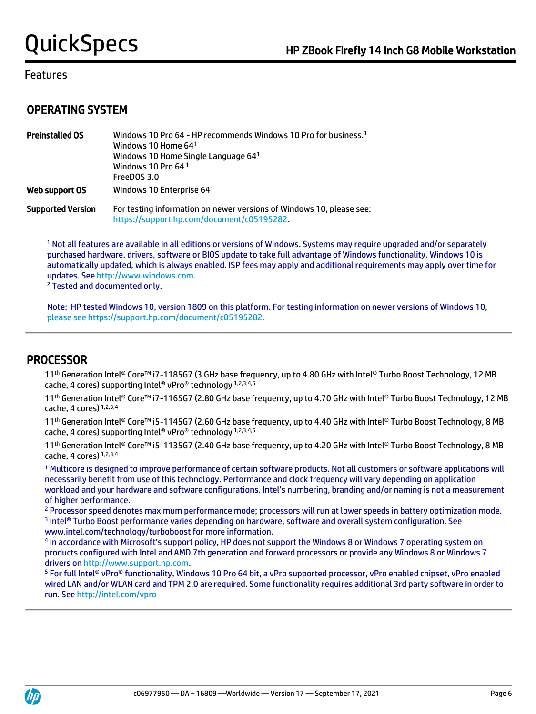### Features

# OPERATING SYSTEM

| <b>Preinstalled OS</b>   | Windows 10 Pro 64 - HP recommends Windows 10 Pro for business. <sup>1</sup><br>Windows 10 Home $641$<br>Windows 10 Home Single Language 64 <sup>1</sup><br>Windows 10 Pro 64 <sup>1</sup><br>FreeDOS 3.0 |
|--------------------------|----------------------------------------------------------------------------------------------------------------------------------------------------------------------------------------------------------|
| Web support OS           | Windows 10 Enterprise 64 <sup>1</sup>                                                                                                                                                                    |
| <b>Supported Version</b> | For testing information on newer versions of Windows 10, please see:<br>https://support.hp.com/document/c05195282.                                                                                       |

<sup>1</sup> Not all features are available in all editions or versions of Windows. Systems may require upgraded and/or separately purchased hardware, drivers, software or BIOS update to take full advantage of Windows functionality. Windows 10 is automatically updated, which is always enabled. ISP fees may apply and additional requirements may apply over time for updates. Se[e http://www.windows.com.](http://www.windows.com/)

<sup>2</sup> Tested and documented only.

Note: HP tested Windows 10, version 1809 on this platform. For testing information on newer versions of Windows 10, please see https://support.hp.com/document/c05195282.

## PROCESSOR

11<sup>th</sup> Generation Intel® Core™ i7-1185G7 (3 GHz base frequency, up to 4.80 GHz with Intel® Turbo Boost Technology, 12 MB cache, 4 cores) supporting Intel® vPro® technology 1,2,3,4,5

11<sup>th</sup> Generation Intel® Core™ i7-1165G7 (2.80 GHz base frequency, up to 4.70 GHz with Intel® Turbo Boost Technology, 12 MB cache, 4 cores) 1,2,3,4

11<sup>th</sup> Generation Intel® Core™ i5-1145G7 (2.60 GHz base frequency, up to 4.40 GHz with Intel® Turbo Boost Technology, 8 MB cache, 4 cores) supporting Intel® vPro® technology 1,2,3,4,5

11<sup>th</sup> Generation Intel® Core<sup>™</sup> i5-1135G7 (2.40 GHz base frequency, up to 4.20 GHz with Intel® Turbo Boost Technology, 8 MB cache, 4 cores) 1,2,3,4

<sup>1</sup> Multicore is designed to improve performance of certain software products. Not all customers or software applications will necessarily benefit from use of this technology. Performance and clock frequency will vary depending on application workload and your hardware and software configurations. Intel's numbering, branding and/or naming is not a measurement of higher performance.

<sup>2</sup> Processor speed denotes maximum performance mode; processors will run at lower speeds in battery optimization mode. 3 Intel® Turbo Boost performance varies depending on hardware, software and overall system configuration. See www.intel.com/technology/turboboost for more information.

4 In accordance with Microsoft's support policy, HP does not support the Windows 8 or Windows 7 operating system on products configured with Intel and AMD 7th generation and forward processors or provide any Windows 8 or Windows 7 drivers on [http://www.support.hp.com.](http://www.support.hp.com/)

<sup>5</sup> For full Intel® vPro® functionality, Windows 10 Pro 64 bit, a vPro supported processor, vPro enabled chipset, vPro enabled wired LAN and/or WLAN card and TPM 2.0 are required. Some functionality requires additional 3rd party software in order to run. Se[e http://intel.com/vpro](http://intel.com/vpro)

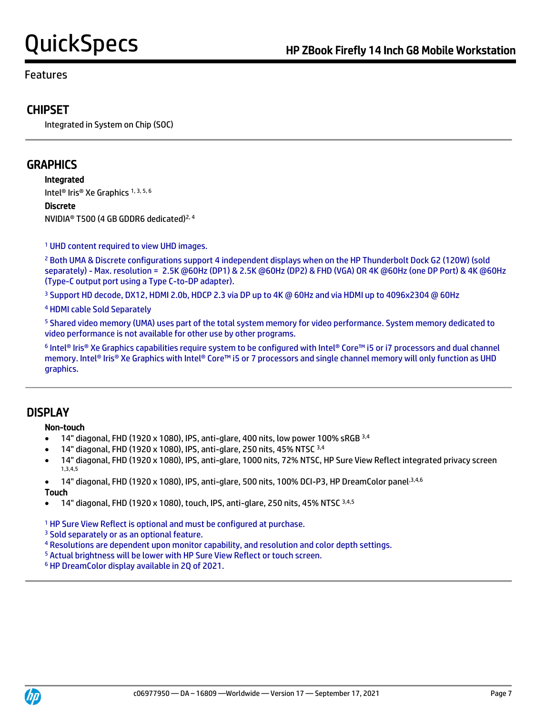### Features

# **CHIPSET**

Integrated in System on Chip (SOC)

# **GRAPHICS**

Integrated

Intel® Iris® Xe Graphics 1, 3, 5, 6

Discrete

NVIDIA® T500 (4 GB GDDR6 dedicated)2, 4

<sup>1</sup> UHD content required to view UHD images.

<sup>2</sup> Both UMA & Discrete configurations support 4 independent displays when on the HP Thunderbolt Dock G2 (120W) (sold separately) - Max. resolution = 2.5K @60Hz (DP1) & 2.5K @60Hz (DP2) & FHD (VGA) OR 4K @60Hz (one DP Port) & 4K @60Hz (Type-C output port using a Type C-to-DP adapter).

<sup>3</sup> Support HD decode, DX12, HDMI 2.0b, HDCP 2.3 via DP up to 4K @ 60Hz and via HDMI up to 4096x2304 @ 60Hz

<sup>4</sup> HDMI cable Sold Separately

<sup>5</sup> Shared video memory (UMA) uses part of the total system memory for video performance. System memory dedicated to video performance is not available for other use by other programs.

6 Intel® Iris® Xe Graphics capabilities require system to be configured with Intel® Core™ i5 or i7 processors and dual channel memory. Intel® Iris® Xe Graphics with Intel® Core™ i5 or 7 processors and single channel memory will only function as UHD graphics.

# **DISPLAY**

#### Non-touch

- 14" diagonal, FHD (1920 x 1080), IPS, anti-glare, 400 nits, low power 100% sRGB 3,4
- 14" diagonal, FHD (1920 x 1080), IPS, anti-glare, 250 nits, 45% NTSC 3,4
- 14" diagonal, FHD (1920 x 1080), IPS, anti-glare, 1000 nits, 72% NTSC, HP Sure View Reflect integrated privacy screen 1,3,4,5
- 14" diagonal, FHD (1920 x 1080), IPS, anti-glare, 500 nits, 100% DCI-P3, HP DreamColor panel<sup>3,4,6</sup>

Touch

• 14" diagonal, FHD (1920 x 1080), touch, IPS, anti-glare, 250 nits, 45% NTSC 3,4,5

<sup>1</sup> HP Sure View Reflect is optional and must be configured at purchase.

<sup>3</sup> Sold separately or as an optional feature.

- <sup>4</sup> Resolutions are dependent upon monitor capability, and resolution and color depth settings.
- <sup>5</sup> Actual brightness will be lower with HP Sure View Reflect or touch screen.

<sup>6</sup> HP DreamColor display available in 2Q of 2021.

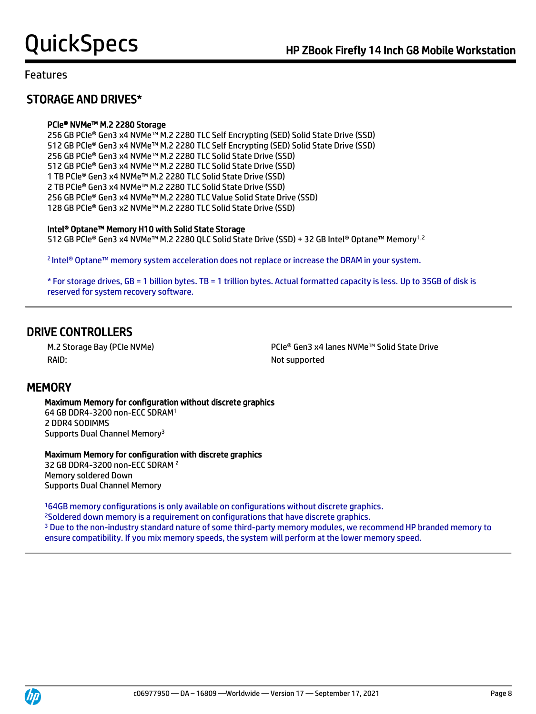# STORAGE AND DRIVES\*

#### PCIe® NVMe™ M.2 2280 Storage

256 GB PCIe® Gen3 x4 NVMe™ M.2 2280 TLC Self Encrypting (SED) Solid State Drive (SSD) 512 GB PCIe® Gen3 x4 NVMe™ M.2 2280 TLC Self Encrypting (SED) Solid State Drive (SSD) 256 GB PCIe® Gen3 x4 NVMe™ M.2 2280 TLC Solid State Drive (SSD) 512 GB PCIe® Gen3 x4 NVMe™ M.2 2280 TLC Solid State Drive (SSD) 1 TB PCIe® Gen3 x4 NVMe™ M.2 2280 TLC Solid State Drive (SSD) 2 TB PCIe® Gen3 x4 NVMe™ M.2 2280 TLC Solid State Drive (SSD) 256 GB PCIe® Gen3 x4 NVMe™ M.2 2280 TLC Value Solid State Drive (SSD) 128 GB PCIe® Gen3 x2 NVMe™ M.2 2280 TLC Solid State Drive (SSD)

#### Intel® Optane™ Memory H10 with Solid State Storage

512 GB PCIe® Gen3 x4 NVMe™ M.2 2280 QLC Solid State Drive (SSD) + 32 GB Intel® Optane™ Memory1,2

<sup>2</sup>Intel® Optane™ memory system acceleration does not replace or increase the DRAM in your system.

\* For storage drives, GB = 1 billion bytes. TB = 1 trillion bytes. Actual formatted capacity is less. Up to 35GB of disk is reserved for system recovery software.

# DRIVE CONTROLLERS

RAID: Not supported

M.2 Storage Bay (PCIe NVMe) PCIe® Gen3 x4 lanes NVMe™ Solid State Drive

## **MEMORY**

 Maximum Memory for configuration without discrete graphics 64 GB DDR4-3200 non-ECC SDRAM<sup>1</sup> 2 DDR4 SODIMMS Supports Dual Channel Memory<sup>3</sup>

#### Maximum Memory for configuration with discrete graphics

32 GB DDR4-3200 non-ECC SDRAM <sup>2</sup> Memory soldered Down Supports Dual Channel Memory

<sup>1</sup>64GB memory configurations is only available on configurations without discrete graphics.

<sup>2</sup>Soldered down memory is a requirement on configurations that have discrete graphics.

<sup>3</sup> Due to the non-industry standard nature of some third-party memory modules, we recommend HP branded memory to ensure compatibility. If you mix memory speeds, the system will perform at the lower memory speed.



j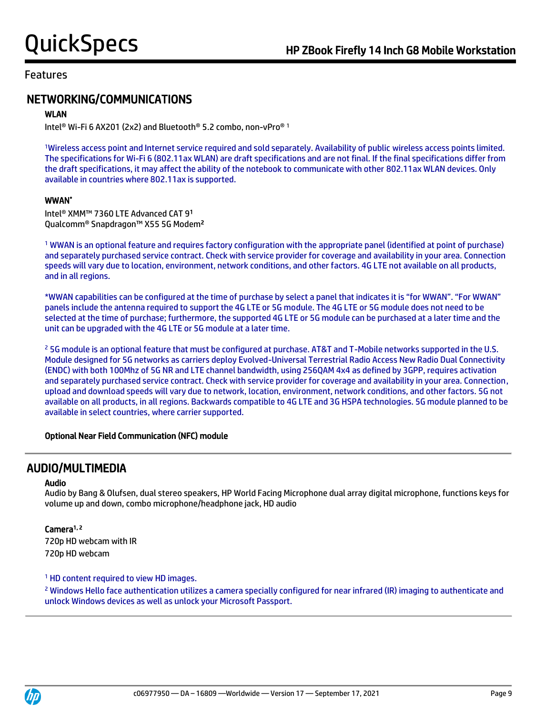# NETWORKING/COMMUNICATIONS

#### WLAN

Intel® Wi-Fi 6 AX201 (2x2) and Bluetooth® 5.2 combo, non-vPro® <sup>1</sup>

<sup>1</sup>Wireless access point and Internet service required and sold separately. Availability of public wireless access points limited. The specifications for Wi-Fi 6 (802.11ax WLAN) are draft specifications and are not final. If the final specifications differ from the draft specifications, it may affect the ability of the notebook to communicate with other 802.11ax WLAN devices. Only available in countries where 802.11ax is supported.

#### WWAN\*

Intel® XMM™ 7360 LTE Advanced CAT 9<sup>1</sup> Qualcomm® Snapdragon™ X55 5G Modem<sup>2</sup>

<sup>1</sup> WWAN is an optional feature and requires factory configuration with the appropriate panel (identified at point of purchase) and separately purchased service contract. Check with service provider for coverage and availability in your area. Connection speeds will vary due to location, environment, network conditions, and other factors. 4G LTE not available on all products, and in all regions.

\*WWAN capabilities can be configured at the time of purchase by select a panel that indicates it is "for WWAN". "For WWAN" panels include the antenna required to support the 4G LTE or 5G module. The 4G LTE or 5G module does not need to be selected at the time of purchase; furthermore, the supported 4G LTE or 5G module can be purchased at a later time and the unit can be upgraded with the 4G LTE or 5G module at a later time.

<sup>2</sup> 5G module is an optional feature that must be configured at purchase. AT&T and T-Mobile networks supported in the U.S. Module designed for 5G networks as carriers deploy Evolved-Universal Terrestrial Radio Access New Radio Dual Connectivity (ENDC) with both 100Mhz of 5G NR and LTE channel bandwidth, using 256QAM 4x4 as defined by 3GPP, requires activation and separately purchased service contract. Check with service provider for coverage and availability in your area. Connection, upload and download speeds will vary due to network, location, environment, network conditions, and other factors. 5G not available on all products, in all regions. Backwards compatible to 4G LTE and 3G HSPA technologies. 5G module planned to be available in select countries, where carrier supported.

#### Optional Near Field Communication (NFC) module

## AUDIO/MULTIMEDIA

#### Audio

Audio by Bang & Olufsen, dual stereo speakers, HP World Facing Microphone dual array digital microphone, functions keys for volume up and down, combo microphone/headphone jack, HD audio

#### Camera<sup>1, 2</sup>

720p HD webcam with IR 720p HD webcam

#### <sup>1</sup> HD content required to view HD images.

<sup>2</sup> Windows Hello face authentication utilizes a camera specially configured for near infrared (IR) imaging to authenticate and unlock Windows devices as well as unlock your Microsoft Passport.

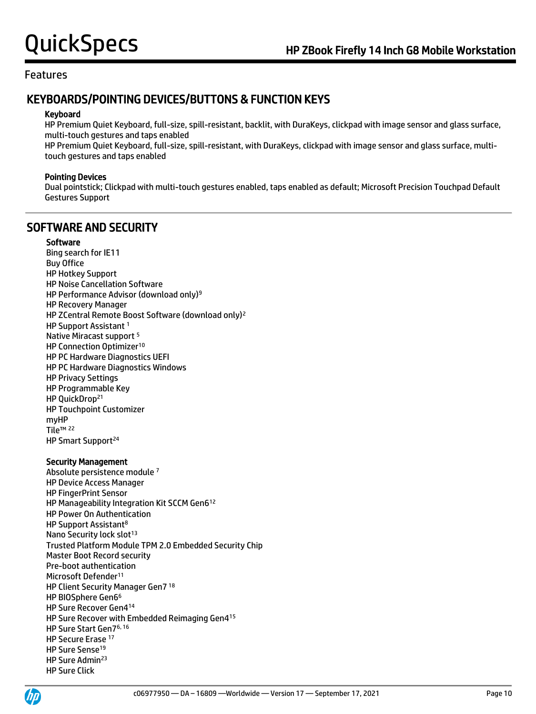# KEYBOARDS/POINTING DEVICES/BUTTONS & FUNCTION KEYS

#### Keyboard

HP Premium Quiet Keyboard, full-size, spill-resistant, backlit, with DuraKeys, clickpad with image sensor and glass surface, multi-touch gestures and taps enabled

HP Premium Quiet Keyboard, full-size, spill-resistant, with DuraKeys, clickpad with image sensor and glass surface, multitouch gestures and taps enabled

#### Pointing Devices

Dual pointstick; Clickpad with multi-touch gestures enabled, taps enabled as default; Microsoft Precision Touchpad Default Gestures Support

# SOFTWARE AND SECURITY

#### **Software**

Bing search for IE11 Buy Office HP Hotkey Support HP Noise Cancellation Software HP Performance Advisor (download only)<sup>9</sup> HP Recovery Manager HP ZCentral Remote Boost Software (download only)<sup>2</sup> HP Support Assistant <sup>1</sup> Native Miracast support <sup>5</sup> HP Connection Optimizer<sup>10</sup> HP PC Hardware Diagnostics UEFI HP PC Hardware Diagnostics Windows HP Privacy Settings HP Programmable Key HP QuickDrop<sup>21</sup> HP Touchpoint Customizer myHP Tile™ <sup>22</sup> HP Smart Support<sup>24</sup>

#### Security Management

Absolute persistence module <sup>7</sup> HP Device Access Manager HP FingerPrint Sensor HP Manageability Integration Kit SCCM Gen6<sup>12</sup> HP Power On Authentication HP Support Assistant<sup>8</sup> Nano Security lock slot<sup>13</sup> Trusted Platform Module TPM 2.0 Embedded Security Chip Master Boot Record security Pre-boot authentication Microsoft Defender<sup>11</sup> HP Client Security Manager Gen7 <sup>18</sup> HP BIOSphere Gen6<sup>6</sup> HP Sure Recover Gen4<sup>14</sup> HP Sure Recover with Embedded Reimaging Gen4<sup>15</sup> HP Sure Start Gen76, 16 HP Secure Erase<sup>17</sup> HP Sure Sense<sup>19</sup> HP Sure Admin<sup>23</sup> HP Sure Click

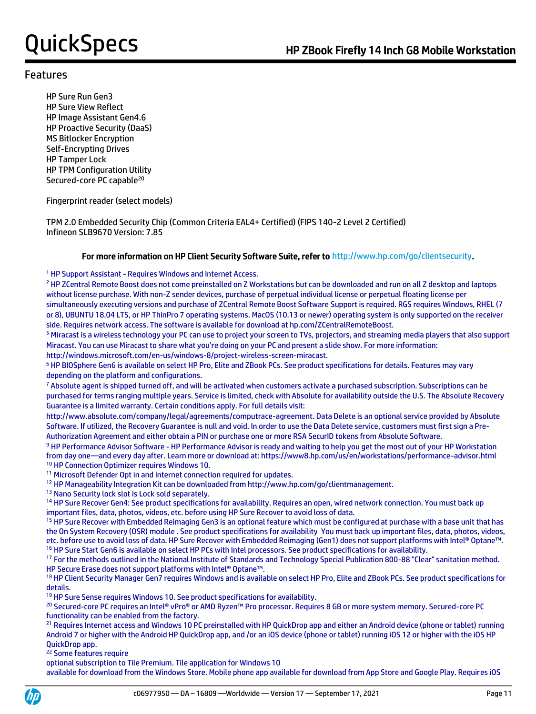HP Sure Run Gen3 HP Sure View Reflect HP Image Assistant Gen4.6 HP Proactive Security (DaaS) MS Bitlocker Encryption Self-Encrypting Drives HP Tamper Lock HP TPM Configuration Utility Secured-core PC capable<sup>20</sup>

Fingerprint reader (select models)

TPM 2.0 Embedded Security Chip (Common Criteria EAL4+ Certified) (FIPS 140-2 Level 2 Certified) Infineon SLB9670 Version: 7.85

#### For more information on HP Client Security Software Suite, refer to http://www.hp.com/go/clientsecurity.

<sup>1</sup> HP Support Assistant - Requires Windows and Internet Access.

<sup>2</sup> HP ZCentral Remote Boost does not come preinstalled on Z Workstations but can be downloaded and run on all Z desktop and laptops without license purchase. With non-Z sender devices, purchase of perpetual individual license or perpetual floating license per simultaneously executing versions and purchase of ZCentral Remote Boost Software Support is required. RGS requires Windows, RHEL (7 or 8), UBUNTU 18.04 LTS, or HP ThinPro 7 operating systems. MacOS (10.13 or newer) operating system is only supported on the receiver side. Requires network access. The software is available for download at hp.com/ZCentralRemoteBoost.

<sup>5</sup> Miracast is a wireless technology your PC can use to project your screen to TVs, projectors, and streaming media players that also support Miracast. You can use Miracast to share what you're doing on your PC and present a slide show. For more information: http://windows.microsoft.com/en-us/windows-8/project-wireless-screen-miracast.

<sup>6</sup> HP BIOSphere Gen6 is available on select HP Pro, Elite and ZBook PCs. See product specifications for details. Features may vary depending on the platform and configurations.

<sup>7</sup> Absolute agent is shipped turned off, and will be activated when customers activate a purchased subscription. Subscriptions can be purchased for terms ranging multiple years. Service is limited, check with Absolute for availability outside the U.S. The Absolute Recovery Guarantee is a limited warranty. Certain conditions apply. For full details visit:

http://www.absolute.com/company/legal/agreements/computrace-agreement. Data Delete is an optional service provided by Absolute Software. If utilized, the Recovery Guarantee is null and void. In order to use the Data Delete service, customers must first sign a Pre-Authorization Agreement and either obtain a PIN or purchase one or more RSA SecurID tokens from Absolute Software.

9 HP Performance Advisor Software - HP Performance Advisor is ready and waiting to help you get the most out of your HP Workstation from day one—and every day after. Learn more or download at: https://www8.hp.com/us/en/workstations/performance-advisor.html <sup>10</sup> HP Connection Optimizer requires Windows 10.

<sup>11</sup> Microsoft Defender Opt in and internet connection required for updates.

<sup>12</sup> HP Manageability Integration Kit can be downloaded from http://www.hp.com/go/clientmanagement.

<sup>13</sup> Nano Security lock slot is Lock sold separately.

<sup>14</sup> HP Sure Recover Gen4: See product specifications for availability. Requires an open, wired network connection. You must back up important files, data, photos, videos, etc. before using HP Sure Recover to avoid loss of data.

<sup>15</sup> HP Sure Recover with Embedded Reimaging Gen3 is an optional feature which must be configured at purchase with a base unit that has the On System Recovery (OSR) module . See product specifications for availability You must back up important files, data, photos, videos, etc. before use to avoid loss of data. HP Sure Recover with Embedded Reimaging (Gen1) does not support platforms with Intel® Optane™. <sup>16</sup> HP Sure Start Gen6 is available on select HP PCs with Intel processors. See product specifications for availability.

<sup>17</sup> For the methods outlined in the National Institute of Standards and Technology Special Publication 800-88 "Clear" sanitation method. HP Secure Erase does not support platforms with Intel® Optane™.

<sup>18</sup> HP Client Security Manager Gen7 requires Windows and is available on select HP Pro, Elite and ZBook PCs. See product specifications for details.

<sup>19</sup> HP Sure Sense requires Windows 10. See product specifications for availability.

<sup>20</sup> Secured-core PC requires an Intel® vPro® or AMD Ryzen™ Pro processor. Requires 8 GB or more system memory. Secured-core PC functionality can be enabled from the factory.

<sup>21</sup> Requires Internet access and Windows 10 PC preinstalled with HP QuickDrop app and either an Android device (phone or tablet) running Android 7 or higher with the Android HP QuickDrop app, and /or an iOS device (phone or tablet) running iOS 12 or higher with the iOS HP QuickDrop app.

<sup>22</sup> Some features require

optional subscription to Tile Premium. Tile application for Windows 10

available for download from the Windows Store. Mobile phone app available for download from App Store and Google Play. Requires iOS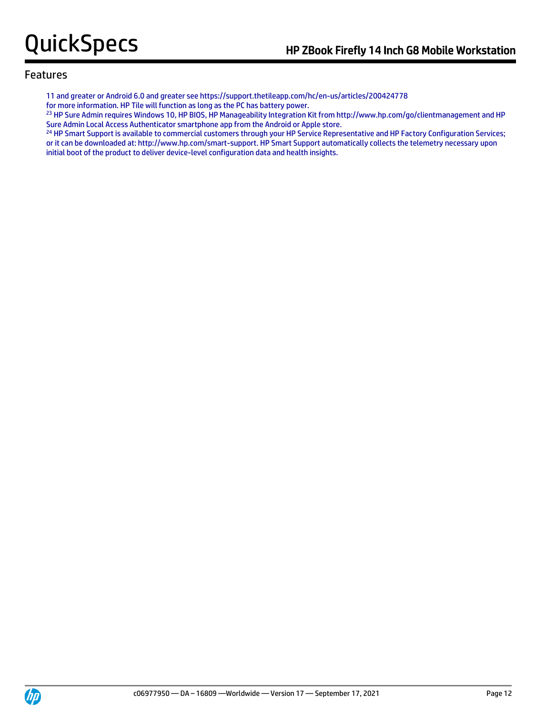11 and greater or Android 6.0 and greater see https://support.thetileapp.com/hc/en-us/articles/200424778

for more information. HP Tile will function as long as the PC has battery power.

<sup>23</sup> HP Sure Admin requires Windows 10, HP BIOS, HP Manageability Integration Kit from http://www.hp.com/go/clientmanagement and HP Sure Admin Local Access Authenticator smartphone app from the Android or Apple store.

<sup>24</sup> HP Smart Support is available to commercial customers through your HP Service Representative and HP Factory Configuration Services; or it can be downloaded at: http://www.hp.com/smart-support. HP Smart Support automatically collects the telemetry necessary upon initial boot of the product to deliver device-level configuration data and health insights.

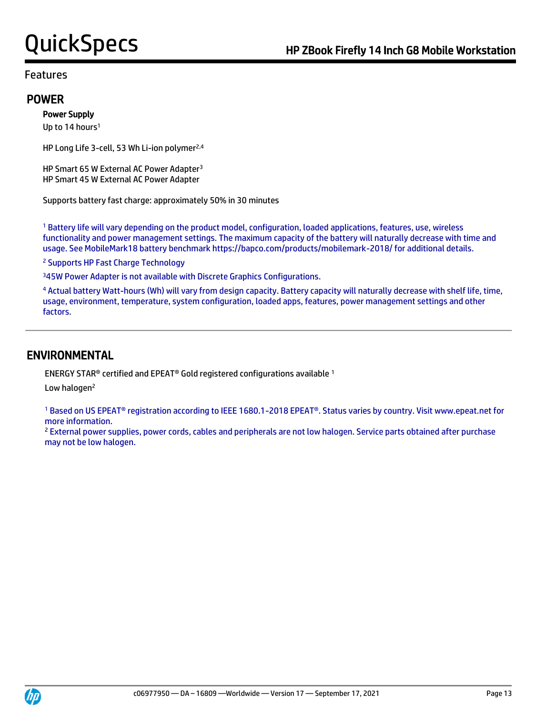### POWER

#### Power Supply

Up to 14 hours<sup>1</sup>

HP Long Life 3-cell, 53 Wh Li-ion polymer<sup>2,4</sup>

HP Smart 65 W External AC Power Adapter<sup>3</sup> HP Smart 45 W External AC Power Adapter

Supports battery fast charge: approximately 50% in 30 minutes

<sup>1</sup> Battery life will vary depending on the product model, configuration, loaded applications, features, use, wireless functionality and power management settings. The maximum capacity of the battery will naturally decrease with time and usage. See MobileMark18 battery benchmark https://bapco.com/products/mobilemark-2018/ for additional details.

<sup>2</sup> Supports HP Fast Charge Technology

<sup>3</sup>45W Power Adapter is not available with Discrete Graphics Configurations.

<sup>4</sup> Actual battery Watt-hours (Wh) will vary from design capacity. Battery capacity will naturally decrease with shelf life, time, usage, environment, temperature, system configuration, loaded apps, features, power management settings and other factors.

## ENVIRONMENTAL

ENERGY STAR® certified and EPEAT® Gold registered configurations available <sup>1</sup>

Low halogen<sup>2</sup>

<sup>1</sup> Based on US EPEAT® registration according to IEEE 1680.1-2018 EPEAT®. Status varies by country. Visit www.epeat.net for more information.

<sup>2</sup> External power supplies, power cords, cables and peripherals are not low halogen. Service parts obtained after purchase may not be low halogen.

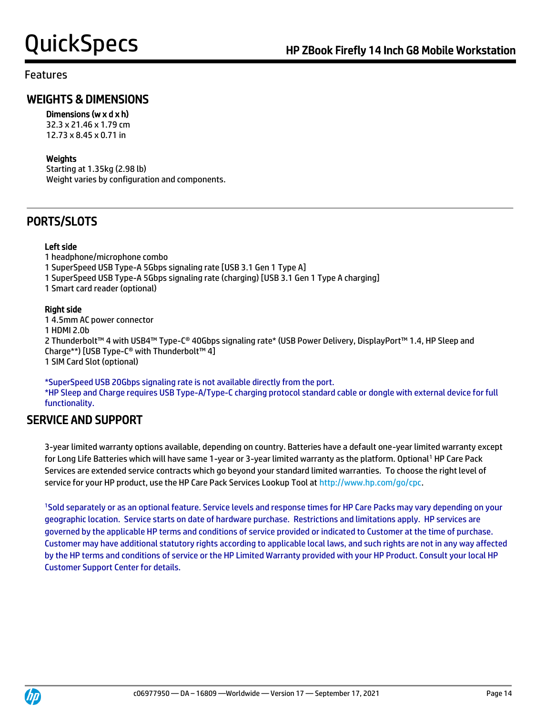### Features

# WEIGHTS & DIMENSIONS

### Dimensions (w x d x h)

32.3 x 21.46 x 1.79 cm 12.73 x 8.45 x 0.71 in

#### Weights

Starting at 1.35kg (2.98 lb) Weight varies by configuration and components.

# PORTS/SLOTS

#### Left side

1 headphone/microphone combo

1 SuperSpeed USB Type-A 5Gbps signaling rate [USB 3.1 Gen 1 Type A]

1 SuperSpeed USB Type-A 5Gbps signaling rate (charging) [USB 3.1 Gen 1 Type A charging]

1 Smart card reader (optional)

#### Right side

1 4.5mm AC power connector 1 HDMI 2.0b 2 Thunderbolt™ 4 with USB4™ Type-C® 40Gbps signaling rate\* (USB Power Delivery, DisplayPort™ 1.4, HP Sleep and Charge\*\*) [USB Type-C® with Thunderbolt™ 4] 1 SIM Card Slot (optional)

\*SuperSpeed USB 20Gbps signaling rate is not available directly from the port. \*HP Sleep and Charge requires USB Type-A/Type-C charging protocol standard cable or dongle with external device for full functionality.

# SERVICE AND SUPPORT

3-year limited warranty options available, depending on country. Batteries have a default one-year limited warranty except for Long Life Batteries which will have same 1-year or 3-year limited warranty as the platform. Optional<sup>1</sup> HP Care Pack Services are extended service contracts which go beyond your standard limited warranties. To choose the right level of service for your HP product, use the HP Care Pack Services Lookup Tool at [http://www.hp.com/go/cpc.](http://www.hp.com/go/cpc)

<sup>1</sup>Sold separately or as an optional feature. Service levels and response times for HP Care Packs may vary depending on your geographic location. Service starts on date of hardware purchase. Restrictions and limitations apply. HP services are governed by the applicable HP terms and conditions of service provided or indicated to Customer at the time of purchase. Customer may have additional statutory rights according to applicable local laws, and such rights are not in any way affected by the HP terms and conditions of service or the HP Limited Warranty provided with your HP Product. Consult your local HP Customer Support Center for details.

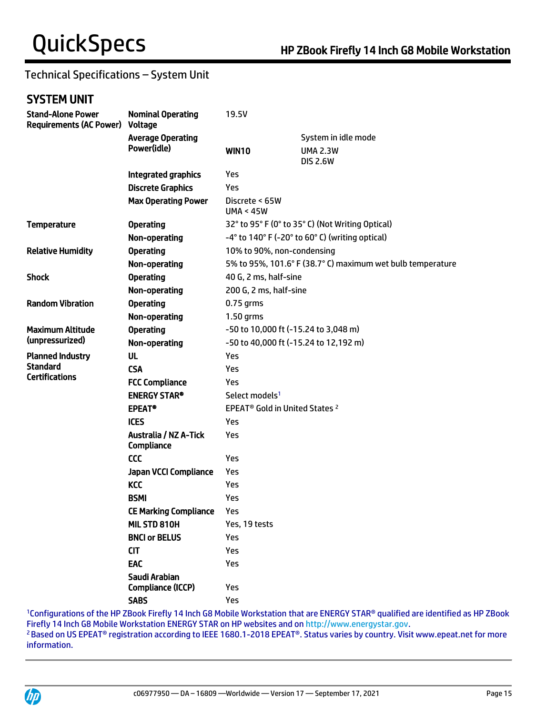# Technical Specifications – System Unit

# SYSTEM UNIT

| <b>Stand-Alone Power</b><br><b>Requirements (AC Power)</b> | <b>Nominal Operating</b><br>Voltage               | 19.5V                                                                                    |                                    |  |
|------------------------------------------------------------|---------------------------------------------------|------------------------------------------------------------------------------------------|------------------------------------|--|
|                                                            | <b>Average Operating</b>                          |                                                                                          | System in idle mode                |  |
|                                                            | Power(idle)                                       | <b>WIN10</b>                                                                             | <b>UMA 2.3W</b><br><b>DIS 2.6W</b> |  |
|                                                            | Integrated graphics                               | Yes                                                                                      |                                    |  |
|                                                            | <b>Discrete Graphics</b>                          | Yes                                                                                      |                                    |  |
|                                                            | <b>Max Operating Power</b>                        | Discrete < 65W<br><b>UMA &lt; 45W</b>                                                    |                                    |  |
| <b>Temperature</b>                                         | <b>Operating</b>                                  | 32° to 95° F (0° to 35° C) (Not Writing Optical)                                         |                                    |  |
|                                                            | Non-operating                                     | $-4^{\circ}$ to 140° F ( $-20^{\circ}$ to 60° C) (writing optical)                       |                                    |  |
| <b>Relative Humidity</b>                                   | <b>Operating</b>                                  | 10% to 90%, non-condensing<br>5% to 95%, 101.6° F (38.7° C) maximum wet bulb temperature |                                    |  |
|                                                            | Non-operating                                     |                                                                                          |                                    |  |
| <b>Shock</b>                                               | <b>Operating</b>                                  | 40 G, 2 ms, half-sine                                                                    |                                    |  |
|                                                            | Non-operating                                     | 200 G, 2 ms, half-sine                                                                   |                                    |  |
| <b>Random Vibration</b>                                    | <b>Operating</b>                                  | 0.75 grms                                                                                |                                    |  |
|                                                            | Non-operating                                     | 1.50 grms                                                                                |                                    |  |
| <b>Maximum Altitude</b>                                    | <b>Operating</b>                                  | -50 to 10,000 ft (-15.24 to 3,048 m)                                                     |                                    |  |
| (unpressurized)                                            | Non-operating                                     | -50 to 40,000 ft (-15.24 to 12,192 m)                                                    |                                    |  |
| <b>Planned Industry</b>                                    | <b>UL</b>                                         | Yes                                                                                      |                                    |  |
| <b>Standard</b>                                            | <b>CSA</b>                                        | Yes                                                                                      |                                    |  |
| <b>Certifications</b>                                      | <b>FCC Compliance</b>                             | Yes                                                                                      |                                    |  |
|                                                            | <b>ENERGY STAR®</b>                               | Select models <sup>1</sup>                                                               |                                    |  |
|                                                            | <b>EPEAT<sup>®</sup></b>                          | EPEAT <sup>®</sup> Gold in United States <sup>2</sup>                                    |                                    |  |
|                                                            | <b>ICES</b>                                       | Yes                                                                                      |                                    |  |
|                                                            | <b>Australia / NZ A-Tick</b><br><b>Compliance</b> | Yes                                                                                      |                                    |  |
|                                                            | <b>CCC</b>                                        | <b>Yes</b>                                                                               |                                    |  |
|                                                            | <b>Japan VCCI Compliance</b>                      | Yes                                                                                      |                                    |  |
|                                                            | <b>KCC</b>                                        | Yes                                                                                      |                                    |  |
|                                                            | <b>BSMI</b>                                       | Yes                                                                                      |                                    |  |
|                                                            | <b>CE Marking Compliance</b>                      | Yes                                                                                      |                                    |  |
|                                                            | MIL STD 810H                                      | Yes, 19 tests                                                                            |                                    |  |
|                                                            | <b>BNCI or BELUS</b>                              | Yes                                                                                      |                                    |  |
|                                                            | <b>CIT</b>                                        | Yes                                                                                      |                                    |  |
|                                                            | EAC                                               | Yes                                                                                      |                                    |  |
|                                                            | Saudi Arabian                                     |                                                                                          |                                    |  |
|                                                            | Compliance (ICCP)                                 | Yes                                                                                      |                                    |  |
|                                                            | <b>SABS</b>                                       | Yes                                                                                      |                                    |  |

<sup>1</sup>Configurations of the HP ZBook Firefly 14 Inch G8 Mobile Workstation that are ENERGY STAR® qualified are identified as HP ZBook Firefly 14 Inch G8 Mobile Workstation ENERGY STAR on HP websites and on [http://www.energystar.gov.](http://www.energystar.gov/) <sup>2</sup>Based on US EPEAT<sup>®</sup> registration according to IEEE 1680.1-2018 EPEAT®. Status varies by country. Visit www.epeat.net for more information.

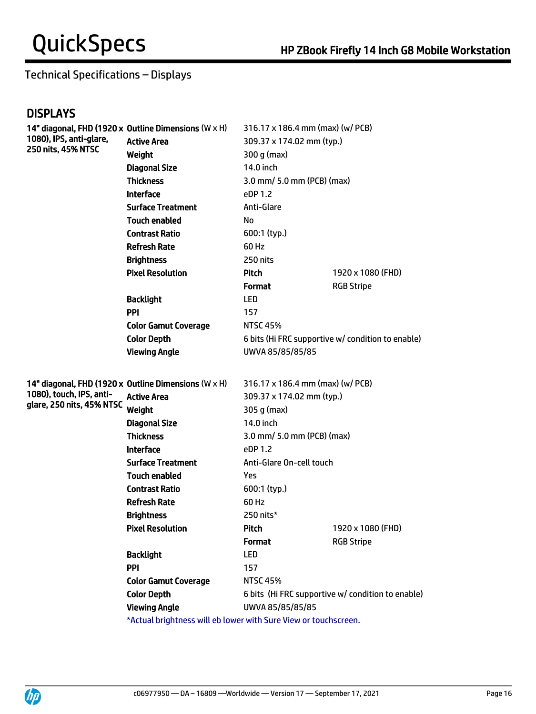# Technical Specifications – Displays

# **DISPLAYS**

|                           | 14" diagonal, FHD (1920 x Outline Dimensions (W x H)            | 316.17 x 186.4 mm (max) (w/ PCB) |                                                   |
|---------------------------|-----------------------------------------------------------------|----------------------------------|---------------------------------------------------|
| 1080), IPS, anti-glare,   | <b>Active Area</b>                                              | 309.37 x 174.02 mm (typ.)        |                                                   |
| 250 nits, 45% NTSC        | Weight                                                          | 300 q (max)                      |                                                   |
|                           | <b>Diagonal Size</b>                                            | 14.0 inch                        |                                                   |
|                           | <b>Thickness</b>                                                | 3.0 mm/ 5.0 mm (PCB) (max)       |                                                   |
|                           | <b>Interface</b>                                                | eDP 1.2                          |                                                   |
|                           | <b>Surface Treatment</b>                                        | Anti-Glare                       |                                                   |
|                           | <b>Touch enabled</b>                                            | No                               |                                                   |
|                           | <b>Contrast Ratio</b>                                           | 600:1 (typ.)                     |                                                   |
|                           | <b>Refresh Rate</b>                                             | 60 Hz                            |                                                   |
|                           | <b>Brightness</b>                                               | 250 nits                         |                                                   |
|                           | <b>Pixel Resolution</b>                                         | Pitch                            | 1920 x 1080 (FHD)                                 |
|                           |                                                                 | <b>Format</b>                    | <b>RGB Stripe</b>                                 |
|                           | <b>Backlight</b>                                                | <b>LED</b>                       |                                                   |
|                           | <b>PPI</b>                                                      | 157                              |                                                   |
|                           | <b>Color Gamut Coverage</b>                                     | <b>NTSC 45%</b>                  |                                                   |
|                           | <b>Color Depth</b>                                              |                                  | 6 bits (Hi FRC supportive w/ condition to enable) |
|                           | <b>Viewing Angle</b>                                            | UWVA 85/85/85/85                 |                                                   |
|                           |                                                                 |                                  |                                                   |
|                           | 14" diagonal, FHD (1920 x Outline Dimensions (W x H)            | 316.17 x 186.4 mm (max) (w/ PCB) |                                                   |
| 1080), touch, IPS, anti-  | <b>Active Area</b>                                              | 309.37 x 174.02 mm (typ.)        |                                                   |
| glare, 250 nits, 45% NTSC | Weight                                                          | 305 g (max)                      |                                                   |
|                           | <b>Diagonal Size</b>                                            | 14.0 inch                        |                                                   |
|                           | <b>Thickness</b>                                                | 3.0 mm/ 5.0 mm (PCB) (max)       |                                                   |
|                           | <b>Interface</b>                                                | eDP 1.2                          |                                                   |
|                           | <b>Surface Treatment</b>                                        | Anti-Glare On-cell touch         |                                                   |
|                           | <b>Touch enabled</b>                                            | Yes                              |                                                   |
|                           | <b>Contrast Ratio</b>                                           | 600:1 (typ.)                     |                                                   |
|                           | <b>Refresh Rate</b>                                             | 60 Hz                            |                                                   |
|                           | <b>Brightness</b>                                               | 250 nits*                        |                                                   |
|                           | <b>Pixel Resolution</b>                                         | Pitch                            | 1920 x 1080 (FHD)                                 |
|                           |                                                                 | <b>Format</b>                    | <b>RGB Stripe</b>                                 |
|                           | <b>Backlight</b>                                                | <b>LED</b>                       |                                                   |
|                           | PPI                                                             | 157                              |                                                   |
|                           | <b>Color Gamut Coverage</b>                                     | <b>NTSC 45%</b>                  |                                                   |
|                           | <b>Color Depth</b>                                              |                                  | 6 bits (Hi FRC supportive w/ condition to enable) |
|                           | <b>Viewing Angle</b>                                            | UWVA 85/85/85/85                 |                                                   |
|                           | *Actual brightness will eb lower with Sure View or touchscreen. |                                  |                                                   |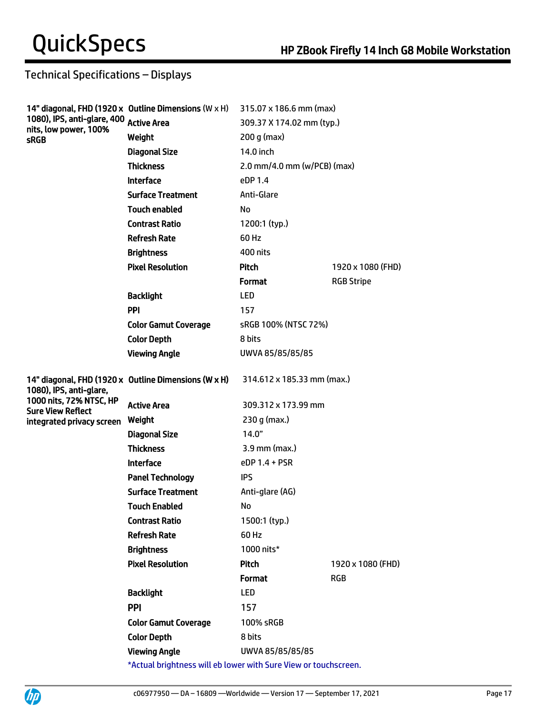# Technical Specifications – Displays

|                                                                                 | 14" diagonal, FHD (1920 x Outline Dimensions (W $\times$ H)     | 315.07 x 186.6 mm (max)         |                   |
|---------------------------------------------------------------------------------|-----------------------------------------------------------------|---------------------------------|-------------------|
| 1080), IPS, anti-glare, 400 Active Area<br>nits, low power, 100%<br><b>sRGB</b> |                                                                 | 309.37 X 174.02 mm (typ.)       |                   |
|                                                                                 | Weight                                                          | 200 g (max)                     |                   |
|                                                                                 | <b>Diagonal Size</b>                                            | 14.0 inch                       |                   |
|                                                                                 | <b>Thickness</b>                                                | 2.0 mm/4.0 mm ( $w/PCB$ ) (max) |                   |
|                                                                                 | <b>Interface</b>                                                | eDP 1.4                         |                   |
|                                                                                 | <b>Surface Treatment</b>                                        | Anti-Glare                      |                   |
|                                                                                 | <b>Touch enabled</b>                                            | No                              |                   |
|                                                                                 | <b>Contrast Ratio</b>                                           | 1200:1 (typ.)                   |                   |
|                                                                                 | <b>Refresh Rate</b>                                             | 60 Hz                           |                   |
|                                                                                 | <b>Brightness</b>                                               | 400 nits                        |                   |
|                                                                                 | <b>Pixel Resolution</b>                                         | <b>Pitch</b>                    | 1920 x 1080 (FHD) |
|                                                                                 |                                                                 | Format                          | <b>RGB Stripe</b> |
|                                                                                 | <b>Backlight</b>                                                | <b>LED</b>                      |                   |
|                                                                                 | PPI                                                             | 157                             |                   |
|                                                                                 | <b>Color Gamut Coverage</b>                                     | sRGB 100% (NTSC 72%)            |                   |
|                                                                                 | <b>Color Depth</b>                                              | 8 hits                          |                   |
|                                                                                 | <b>Viewing Angle</b>                                            | UWVA 85/85/85/85                |                   |
| 1080), IPS, anti-glare,                                                         | 14" diagonal, FHD (1920 x Outline Dimensions (W x H)            | 314.612 x 185.33 mm (max.)      |                   |
| 1000 nits, 72% NTSC, HP<br><b>Sure View Reflect</b>                             | <b>Active Area</b>                                              | 309.312 x 173.99 mm             |                   |
| integrated privacy screen                                                       | Weight                                                          | 230 g (max.)                    |                   |
|                                                                                 | <b>Diagonal Size</b>                                            | 14.0"                           |                   |
|                                                                                 | <b>Thickness</b>                                                | 3.9 mm (max.)                   |                   |
|                                                                                 | <b>Interface</b>                                                | $eDP$ 1.4 + PSR                 |                   |
|                                                                                 | <b>Panel Technology</b>                                         | <b>IPS</b>                      |                   |
|                                                                                 | <b>Surface Treatment</b>                                        | Anti-glare (AG)                 |                   |
|                                                                                 | <b>Touch Enabled</b>                                            | No                              |                   |
|                                                                                 | <b>Contrast Ratio</b>                                           | 1500:1 (typ.)                   |                   |
|                                                                                 | <b>Refresh Rate</b>                                             | 60 Hz                           |                   |
|                                                                                 | <b>Brightness</b>                                               | 1000 nits*                      |                   |
|                                                                                 | <b>Pixel Resolution</b>                                         | Pitch                           | 1920 x 1080 (FHD) |
|                                                                                 |                                                                 | <b>Format</b>                   | <b>RGB</b>        |
|                                                                                 | <b>Backlight</b>                                                | <b>LED</b>                      |                   |
|                                                                                 | <b>PPI</b>                                                      | 157                             |                   |
|                                                                                 | <b>Color Gamut Coverage</b>                                     | 100% sRGB                       |                   |
|                                                                                 | <b>Color Depth</b>                                              | 8 bits                          |                   |
|                                                                                 | <b>Viewing Angle</b>                                            | UWVA 85/85/85/85                |                   |
|                                                                                 | *Actual brightness will eb lower with Sure View or touchscreen. |                                 |                   |

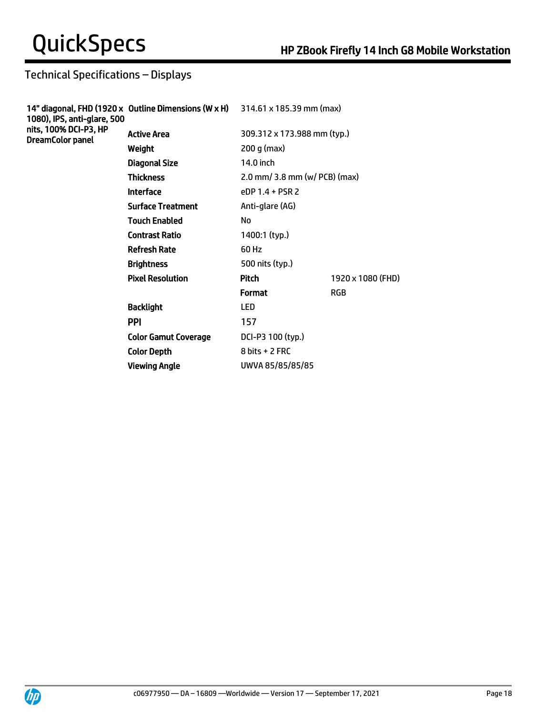# Technical Specifications – Displays

| 1080), IPS, anti-glare, 500<br>nits, 100% DCI-P3, HP<br><b>DreamColor panel</b> | 14" diagonal, FHD (1920 x Outline Dimensions (W x H) 314.61 x 185.39 mm (max) |                                  |                   |
|---------------------------------------------------------------------------------|-------------------------------------------------------------------------------|----------------------------------|-------------------|
|                                                                                 | <b>Active Area</b>                                                            | 309.312 x 173.988 mm (typ.)      |                   |
|                                                                                 | Weight                                                                        | 200 g (max)                      |                   |
|                                                                                 | <b>Diagonal Size</b>                                                          | 14.0 inch                        |                   |
|                                                                                 | <b>Thickness</b>                                                              | $2.0$ mm/ 3.8 mm (w/ PCB) (max)  |                   |
|                                                                                 | <b>Interface</b>                                                              | $PDP 1.4 + PSR 2$                |                   |
|                                                                                 | <b>Surface Treatment</b>                                                      | Anti-glare (AG)                  |                   |
|                                                                                 | <b>Touch Enabled</b>                                                          | No                               |                   |
|                                                                                 | <b>Contrast Ratio</b>                                                         | 1400:1 (typ.)                    |                   |
|                                                                                 | <b>Refresh Rate</b>                                                           | 60 Hz                            |                   |
|                                                                                 | <b>Brightness</b>                                                             | 500 nits (typ.)                  |                   |
|                                                                                 | <b>Pixel Resolution</b>                                                       | <b>Pitch</b>                     | 1920 x 1080 (FHD) |
|                                                                                 |                                                                               | <b>Format</b>                    | <b>RGB</b>        |
|                                                                                 | <b>Backlight</b>                                                              | LED                              |                   |
|                                                                                 | <b>PPI</b>                                                                    | 157                              |                   |
|                                                                                 | <b>Color Gamut Coverage</b>                                                   | DCI-P3 100 (typ.)                |                   |
|                                                                                 | <b>Color Depth</b>                                                            | $8 \text{ bits} + 2 \text{ FRC}$ |                   |
|                                                                                 | <b>Viewing Angle</b>                                                          | UWVA 85/85/85/85                 |                   |
|                                                                                 |                                                                               |                                  |                   |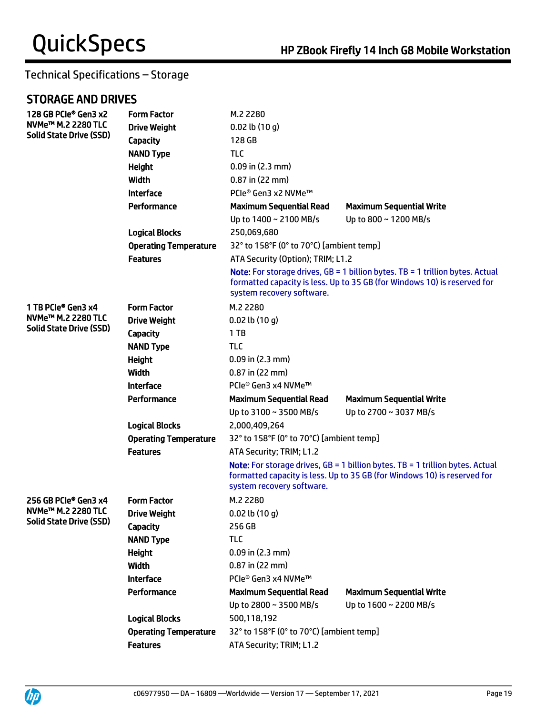# Technical Specifications – Storage

# STORAGE AND DRIVES

| 128 GB PCIe® Gen3 x2<br>NVMe <sup>™</sup> M.2 2280 TLC<br><b>Solid State Drive (SSD)</b> | <b>Form Factor</b><br><b>Drive Weight</b><br>Capacity<br><b>NAND Type</b><br><b>Height</b><br>Width<br><b>Interface</b> | M.2 2280<br>$0.02$ lb $(10q)$<br>128 GB<br><b>TLC</b><br>$0.09$ in (2.3 mm)<br>$0.87$ in (22 mm)<br>PCIe® Gen3 x2 NVMe™ |                                                                                                                                                                    |
|------------------------------------------------------------------------------------------|-------------------------------------------------------------------------------------------------------------------------|-------------------------------------------------------------------------------------------------------------------------|--------------------------------------------------------------------------------------------------------------------------------------------------------------------|
|                                                                                          | Performance                                                                                                             | <b>Maximum Sequential Read</b><br>Up to 1400 ~ 2100 MB/s                                                                | <b>Maximum Sequential Write</b><br>Up to 800 ~ 1200 MB/s                                                                                                           |
|                                                                                          | <b>Logical Blocks</b>                                                                                                   | 250,069,680                                                                                                             |                                                                                                                                                                    |
|                                                                                          | <b>Operating Temperature</b>                                                                                            | 32° to 158°F (0° to 70°C) [ambient temp]                                                                                |                                                                                                                                                                    |
|                                                                                          | <b>Features</b>                                                                                                         | ATA Security (Option); TRIM; L1.2                                                                                       |                                                                                                                                                                    |
|                                                                                          |                                                                                                                         | system recovery software.                                                                                               | <b>Note:</b> For storage drives, $GB = 1$ billion bytes. TB = 1 trillion bytes. Actual<br>formatted capacity is less. Up to 35 GB (for Windows 10) is reserved for |
| 1 TB PCIe® Gen3 x4                                                                       | <b>Form Factor</b>                                                                                                      | M.2 2280                                                                                                                |                                                                                                                                                                    |
| NVMe™ M.2 2280 TLC                                                                       | <b>Drive Weight</b>                                                                                                     | $0.02$ lb $(10q)$                                                                                                       |                                                                                                                                                                    |
| <b>Solid State Drive (SSD)</b>                                                           | <b>Capacity</b>                                                                                                         | 1TB                                                                                                                     |                                                                                                                                                                    |
|                                                                                          | <b>NAND Type</b>                                                                                                        | <b>TLC</b>                                                                                                              |                                                                                                                                                                    |
|                                                                                          | <b>Height</b>                                                                                                           | $0.09$ in (2.3 mm)                                                                                                      |                                                                                                                                                                    |
|                                                                                          | Width                                                                                                                   | $0.87$ in (22 mm)                                                                                                       |                                                                                                                                                                    |
|                                                                                          | <b>Interface</b>                                                                                                        | PCIe® Gen3 x4 NVMe™                                                                                                     |                                                                                                                                                                    |
|                                                                                          | Performance                                                                                                             | <b>Maximum Sequential Read</b>                                                                                          | <b>Maximum Sequential Write</b>                                                                                                                                    |
|                                                                                          |                                                                                                                         | Up to 3100 ~ 3500 MB/s                                                                                                  | Up to 2700 ~ 3037 MB/s                                                                                                                                             |
|                                                                                          | <b>Logical Blocks</b>                                                                                                   | 2,000,409,264                                                                                                           |                                                                                                                                                                    |
|                                                                                          | <b>Operating Temperature</b>                                                                                            | 32° to 158°F (0° to 70°C) [ambient temp]                                                                                |                                                                                                                                                                    |
|                                                                                          | <b>Features</b>                                                                                                         | ATA Security; TRIM; L1.2                                                                                                |                                                                                                                                                                    |
|                                                                                          |                                                                                                                         | system recovery software.                                                                                               | <b>Note:</b> For storage drives, $GB = 1$ billion bytes. TB = 1 trillion bytes. Actual<br>formatted capacity is less. Up to 35 GB (for Windows 10) is reserved for |
| 256 GB PCIe® Gen3 x4                                                                     | <b>Form Factor</b>                                                                                                      | M.2 2280                                                                                                                |                                                                                                                                                                    |
| NVMe™ M.2 2280 TLC                                                                       | <b>Drive Weight</b>                                                                                                     | $0.02$ lb $(10 g)$                                                                                                      |                                                                                                                                                                    |
| <b>Solid State Drive (SSD)</b>                                                           | <b>Capacity</b>                                                                                                         | 256 GB                                                                                                                  |                                                                                                                                                                    |
|                                                                                          | <b>NAND Type</b>                                                                                                        | <b>TLC</b>                                                                                                              |                                                                                                                                                                    |
|                                                                                          | <b>Height</b>                                                                                                           | $0.09$ in (2.3 mm)                                                                                                      |                                                                                                                                                                    |
|                                                                                          | <b>Width</b>                                                                                                            | $0.87$ in (22 mm)                                                                                                       |                                                                                                                                                                    |
|                                                                                          | <b>Interface</b>                                                                                                        | PCle® Gen3 x4 NVMe™                                                                                                     |                                                                                                                                                                    |
|                                                                                          | Performance                                                                                                             | <b>Maximum Sequential Read</b><br>Up to 2800 ~ 3500 MB/s                                                                | <b>Maximum Sequential Write</b><br>Up to 1600 ~ 2200 MB/s                                                                                                          |
|                                                                                          | <b>Logical Blocks</b>                                                                                                   | 500,118,192                                                                                                             |                                                                                                                                                                    |
|                                                                                          | <b>Operating Temperature</b>                                                                                            | 32° to 158°F (0° to 70°C) [ambient temp]                                                                                |                                                                                                                                                                    |
|                                                                                          | <b>Features</b>                                                                                                         | ATA Security; TRIM; L1.2                                                                                                |                                                                                                                                                                    |
|                                                                                          |                                                                                                                         |                                                                                                                         |                                                                                                                                                                    |

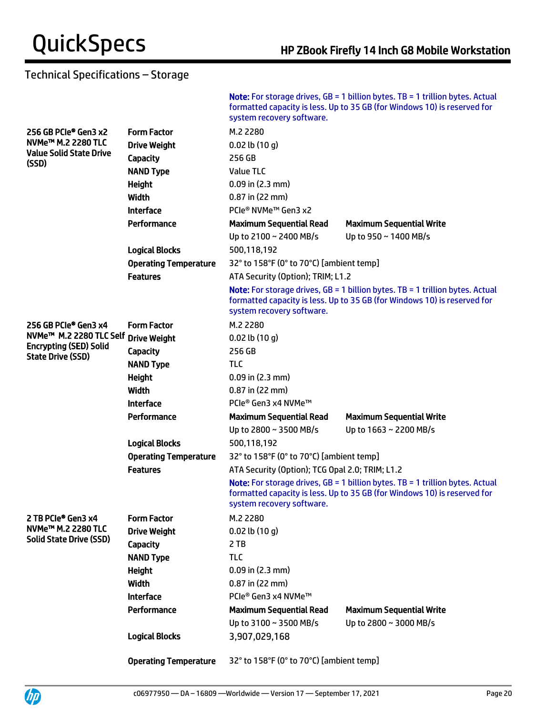**UD** 

# Technical Specifications – Storage

|                                                                                                                          |                              | system recovery software.                       | <b>Note:</b> For storage drives, $GB = 1$ billion bytes. TB = 1 trillion bytes. Actual<br>formatted capacity is less. Up to 35 GB (for Windows 10) is reserved for   |
|--------------------------------------------------------------------------------------------------------------------------|------------------------------|-------------------------------------------------|----------------------------------------------------------------------------------------------------------------------------------------------------------------------|
| 256 GB PCIe® Gen3 x2                                                                                                     | <b>Form Factor</b>           | M.2 2280                                        |                                                                                                                                                                      |
| NVMe™ M.2 2280 TLC                                                                                                       | <b>Drive Weight</b>          | $0.02$ lb $(10q)$                               |                                                                                                                                                                      |
| <b>Value Solid State Drive</b><br>(SSD)                                                                                  | Capacity                     | 256 GB                                          |                                                                                                                                                                      |
|                                                                                                                          | <b>NAND Type</b>             | <b>Value TLC</b>                                |                                                                                                                                                                      |
|                                                                                                                          | <b>Height</b>                | $0.09$ in $(2.3$ mm)                            |                                                                                                                                                                      |
|                                                                                                                          | <b>Width</b>                 | $0.87$ in (22 mm)                               |                                                                                                                                                                      |
|                                                                                                                          | <b>Interface</b>             | PCIe® NVMe™ Gen3 x2                             |                                                                                                                                                                      |
|                                                                                                                          | Performance                  | <b>Maximum Sequential Read</b>                  | <b>Maximum Sequential Write</b>                                                                                                                                      |
|                                                                                                                          |                              | Up to 2100 ~ 2400 MB/s                          | Up to 950 ~ 1400 MB/s                                                                                                                                                |
|                                                                                                                          | <b>Logical Blocks</b>        | 500,118,192                                     |                                                                                                                                                                      |
|                                                                                                                          | <b>Operating Temperature</b> | 32° to 158°F (0° to 70°C) [ambient temp]        |                                                                                                                                                                      |
|                                                                                                                          | <b>Features</b>              | ATA Security (Option); TRIM; L1.2               |                                                                                                                                                                      |
|                                                                                                                          |                              | system recovery software.                       | <b>Note:</b> For storage drives, $GB = 1$ billion bytes. $TB = 1$ trillion bytes. Actual<br>formatted capacity is less. Up to 35 GB (for Windows 10) is reserved for |
| 256 GB PCIe® Gen3 x4<br>NVMe <sup>™</sup> M.2 2280 TLC Self<br><b>Encrypting (SED) Solid</b><br><b>State Drive (SSD)</b> | <b>Form Factor</b>           | M.2 2280                                        |                                                                                                                                                                      |
|                                                                                                                          | <b>Drive Weight</b>          | $0.02$ lb $(10 g)$                              |                                                                                                                                                                      |
|                                                                                                                          | Capacity                     | 256 GB                                          |                                                                                                                                                                      |
|                                                                                                                          | <b>NAND Type</b>             | <b>TLC</b>                                      |                                                                                                                                                                      |
|                                                                                                                          | <b>Height</b>                | $0.09$ in $(2.3$ mm)                            |                                                                                                                                                                      |
|                                                                                                                          | Width                        | $0.87$ in (22 mm)                               |                                                                                                                                                                      |
|                                                                                                                          | <b>Interface</b>             | PCIe® Gen3 x4 NVMe™                             |                                                                                                                                                                      |
|                                                                                                                          | Performance                  | <b>Maximum Sequential Read</b>                  | <b>Maximum Sequential Write</b>                                                                                                                                      |
|                                                                                                                          |                              | Up to 2800 ~ 3500 MB/s                          | Up to 1663 ~ 2200 MB/s                                                                                                                                               |
|                                                                                                                          | <b>Logical Blocks</b>        | 500,118,192                                     |                                                                                                                                                                      |
|                                                                                                                          | <b>Operating Temperature</b> | 32° to 158°F (0° to 70°C) [ambient temp]        |                                                                                                                                                                      |
|                                                                                                                          | <b>Features</b>              | ATA Security (Option); TCG Opal 2.0; TRIM; L1.2 |                                                                                                                                                                      |
|                                                                                                                          |                              | system recovery software.                       | <b>Note:</b> For storage drives, $GB = 1$ billion bytes. TB = 1 trillion bytes. Actual<br>formatted capacity is less. Up to 35 GB (for Windows 10) is reserved for   |
| 2 TB PCIe® Gen3 x4                                                                                                       | <b>Form Factor</b>           | M.2 2280                                        |                                                                                                                                                                      |
| NVMe <sup>™</sup> M.2 2280 TLC                                                                                           | <b>Drive Weight</b>          | $0.02$ lb $(10q)$                               |                                                                                                                                                                      |
| <b>Solid State Drive (SSD)</b>                                                                                           | <b>Capacity</b>              | 2 TB                                            |                                                                                                                                                                      |
|                                                                                                                          | <b>NAND Type</b>             | <b>TLC</b>                                      |                                                                                                                                                                      |
|                                                                                                                          | <b>Height</b>                | $0.09$ in (2.3 mm)                              |                                                                                                                                                                      |
|                                                                                                                          | Width                        | $0.87$ in (22 mm)                               |                                                                                                                                                                      |
|                                                                                                                          | <b>Interface</b>             | PCIe® Gen3 x4 NVMe™                             |                                                                                                                                                                      |
|                                                                                                                          | Performance                  | <b>Maximum Sequential Read</b>                  | <b>Maximum Sequential Write</b>                                                                                                                                      |
|                                                                                                                          |                              | Up to 3100 ~ 3500 MB/s                          | Up to 2800 ~ 3000 MB/s                                                                                                                                               |
|                                                                                                                          | <b>Logical Blocks</b>        | 3,907,029,168                                   |                                                                                                                                                                      |
|                                                                                                                          | <b>Operating Temperature</b> | 32° to 158°F (0° to 70°C) [ambient temp]        |                                                                                                                                                                      |

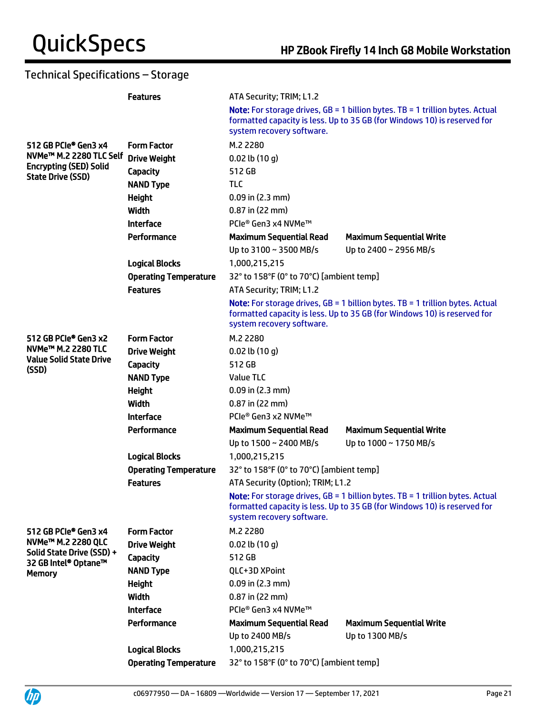# Technical Specifications – Storage

| <b>Note:</b> For storage drives, $GB = 1$ billion bytes. TB = 1 trillion bytes. Actual<br>formatted capacity is less. Up to 35 GB (for Windows 10) is reserved for<br>system recovery software.<br>512 GB PCIe® Gen3 x4<br><b>Form Factor</b><br>M.2 2280<br>NVMe™ M.2 2280 TLC Self<br><b>Drive Weight</b><br>$0.02$ lb $(10q)$<br><b>Encrypting (SED) Solid</b><br>512 GB<br><b>Capacity</b><br>State Drive (SSD)<br><b>NAND Type</b><br><b>TLC</b><br><b>Height</b><br>$0.09$ in (2.3 mm)<br>Width<br>$0.87$ in (22 mm)<br><b>Interface</b><br>PCle® Gen3 x4 NVMe™<br>Performance<br><b>Maximum Sequential Read</b><br><b>Maximum Sequential Write</b><br>Up to 3100 ~ 3500 MB/s<br>Up to 2400 ~ 2956 MB/s<br><b>Logical Blocks</b><br>1,000,215,215<br>32° to 158°F (0° to 70°C) [ambient temp]<br><b>Operating Temperature</b><br><b>Features</b><br>ATA Security; TRIM; L1.2<br><b>Note:</b> For storage drives, $GB = 1$ billion bytes. TB = 1 trillion bytes. Actual<br>formatted capacity is less. Up to 35 GB (for Windows 10) is reserved for<br>system recovery software.<br>512 GB PCIe <sup>®</sup> Gen3 x2<br><b>Form Factor</b><br>M.2 2280<br>NVMe <sup>™</sup> M.2 2280 TLC<br><b>Drive Weight</b><br>$0.02$ lb $(10q)$<br><b>Value Solid State Drive</b><br>512 GB<br><b>Capacity</b><br>(SSD)<br><b>NAND Type</b><br>Value TLC<br><b>Height</b><br>$0.09$ in (2.3 mm)<br>Width<br>$0.87$ in (22 mm)<br><b>Interface</b><br>PCIe® Gen3 x2 NVMe™<br>Performance<br><b>Maximum Sequential Read</b><br><b>Maximum Sequential Write</b><br>Up to 1500 ~ 2400 MB/s<br>Up to 1000 ~ 1750 MB/s<br><b>Logical Blocks</b><br>1,000,215,215<br>32° to 158°F (0° to 70°C) [ambient temp]<br><b>Operating Temperature</b><br>ATA Security (Option); TRIM; L1.2<br><b>Features</b><br>Note: For storage drives, GB = 1 billion bytes. TB = 1 trillion bytes. Actual<br>formatted capacity is less. Up to 35 GB (for Windows 10) is reserved for<br>system recovery software.<br>512 GB PCIe® Gen3 x4<br><b>Form Factor</b><br>M.2 2280<br>NVMe <sup>™</sup> M.2 2280 QLC<br><b>Drive Weight</b><br>$0.02$ lb $(10q)$<br>Solid State Drive (SSD) +<br>512 GB<br><b>Capacity</b><br>32 GB Intel® Optane™<br><b>NAND Type</b><br>QLC+3D XPoint<br><b>Memory</b><br><b>Height</b><br>$0.09$ in $(2.3$ mm)<br><b>Width</b><br>$0.87$ in (22 mm)<br><b>Interface</b><br>PCIe® Gen3 x4 NVMe™<br>Performance<br><b>Maximum Sequential Read</b><br><b>Maximum Sequential Write</b><br>Up to 1300 MB/s<br>Up to 2400 MB/s<br><b>Logical Blocks</b><br>1,000,215,215<br>32° to 158°F (0° to 70°C) [ambient temp]<br><b>Operating Temperature</b> |  | <b>Features</b> | ATA Security; TRIM; L1.2 |  |  |
|---------------------------------------------------------------------------------------------------------------------------------------------------------------------------------------------------------------------------------------------------------------------------------------------------------------------------------------------------------------------------------------------------------------------------------------------------------------------------------------------------------------------------------------------------------------------------------------------------------------------------------------------------------------------------------------------------------------------------------------------------------------------------------------------------------------------------------------------------------------------------------------------------------------------------------------------------------------------------------------------------------------------------------------------------------------------------------------------------------------------------------------------------------------------------------------------------------------------------------------------------------------------------------------------------------------------------------------------------------------------------------------------------------------------------------------------------------------------------------------------------------------------------------------------------------------------------------------------------------------------------------------------------------------------------------------------------------------------------------------------------------------------------------------------------------------------------------------------------------------------------------------------------------------------------------------------------------------------------------------------------------------------------------------------------------------------------------------------------------------------------------------------------------------------------------------------------------------------------------------------------------------------------------------------------------------------------------------------------------------------------------------------------------------------------------------------------------------------------------------------------------------------------------------------------------------------------------------------------------------------------------------------|--|-----------------|--------------------------|--|--|
|                                                                                                                                                                                                                                                                                                                                                                                                                                                                                                                                                                                                                                                                                                                                                                                                                                                                                                                                                                                                                                                                                                                                                                                                                                                                                                                                                                                                                                                                                                                                                                                                                                                                                                                                                                                                                                                                                                                                                                                                                                                                                                                                                                                                                                                                                                                                                                                                                                                                                                                                                                                                                                             |  |                 |                          |  |  |
|                                                                                                                                                                                                                                                                                                                                                                                                                                                                                                                                                                                                                                                                                                                                                                                                                                                                                                                                                                                                                                                                                                                                                                                                                                                                                                                                                                                                                                                                                                                                                                                                                                                                                                                                                                                                                                                                                                                                                                                                                                                                                                                                                                                                                                                                                                                                                                                                                                                                                                                                                                                                                                             |  |                 |                          |  |  |
|                                                                                                                                                                                                                                                                                                                                                                                                                                                                                                                                                                                                                                                                                                                                                                                                                                                                                                                                                                                                                                                                                                                                                                                                                                                                                                                                                                                                                                                                                                                                                                                                                                                                                                                                                                                                                                                                                                                                                                                                                                                                                                                                                                                                                                                                                                                                                                                                                                                                                                                                                                                                                                             |  |                 |                          |  |  |
|                                                                                                                                                                                                                                                                                                                                                                                                                                                                                                                                                                                                                                                                                                                                                                                                                                                                                                                                                                                                                                                                                                                                                                                                                                                                                                                                                                                                                                                                                                                                                                                                                                                                                                                                                                                                                                                                                                                                                                                                                                                                                                                                                                                                                                                                                                                                                                                                                                                                                                                                                                                                                                             |  |                 |                          |  |  |
|                                                                                                                                                                                                                                                                                                                                                                                                                                                                                                                                                                                                                                                                                                                                                                                                                                                                                                                                                                                                                                                                                                                                                                                                                                                                                                                                                                                                                                                                                                                                                                                                                                                                                                                                                                                                                                                                                                                                                                                                                                                                                                                                                                                                                                                                                                                                                                                                                                                                                                                                                                                                                                             |  |                 |                          |  |  |
|                                                                                                                                                                                                                                                                                                                                                                                                                                                                                                                                                                                                                                                                                                                                                                                                                                                                                                                                                                                                                                                                                                                                                                                                                                                                                                                                                                                                                                                                                                                                                                                                                                                                                                                                                                                                                                                                                                                                                                                                                                                                                                                                                                                                                                                                                                                                                                                                                                                                                                                                                                                                                                             |  |                 |                          |  |  |
|                                                                                                                                                                                                                                                                                                                                                                                                                                                                                                                                                                                                                                                                                                                                                                                                                                                                                                                                                                                                                                                                                                                                                                                                                                                                                                                                                                                                                                                                                                                                                                                                                                                                                                                                                                                                                                                                                                                                                                                                                                                                                                                                                                                                                                                                                                                                                                                                                                                                                                                                                                                                                                             |  |                 |                          |  |  |
|                                                                                                                                                                                                                                                                                                                                                                                                                                                                                                                                                                                                                                                                                                                                                                                                                                                                                                                                                                                                                                                                                                                                                                                                                                                                                                                                                                                                                                                                                                                                                                                                                                                                                                                                                                                                                                                                                                                                                                                                                                                                                                                                                                                                                                                                                                                                                                                                                                                                                                                                                                                                                                             |  |                 |                          |  |  |
|                                                                                                                                                                                                                                                                                                                                                                                                                                                                                                                                                                                                                                                                                                                                                                                                                                                                                                                                                                                                                                                                                                                                                                                                                                                                                                                                                                                                                                                                                                                                                                                                                                                                                                                                                                                                                                                                                                                                                                                                                                                                                                                                                                                                                                                                                                                                                                                                                                                                                                                                                                                                                                             |  |                 |                          |  |  |
|                                                                                                                                                                                                                                                                                                                                                                                                                                                                                                                                                                                                                                                                                                                                                                                                                                                                                                                                                                                                                                                                                                                                                                                                                                                                                                                                                                                                                                                                                                                                                                                                                                                                                                                                                                                                                                                                                                                                                                                                                                                                                                                                                                                                                                                                                                                                                                                                                                                                                                                                                                                                                                             |  |                 |                          |  |  |
|                                                                                                                                                                                                                                                                                                                                                                                                                                                                                                                                                                                                                                                                                                                                                                                                                                                                                                                                                                                                                                                                                                                                                                                                                                                                                                                                                                                                                                                                                                                                                                                                                                                                                                                                                                                                                                                                                                                                                                                                                                                                                                                                                                                                                                                                                                                                                                                                                                                                                                                                                                                                                                             |  |                 |                          |  |  |
|                                                                                                                                                                                                                                                                                                                                                                                                                                                                                                                                                                                                                                                                                                                                                                                                                                                                                                                                                                                                                                                                                                                                                                                                                                                                                                                                                                                                                                                                                                                                                                                                                                                                                                                                                                                                                                                                                                                                                                                                                                                                                                                                                                                                                                                                                                                                                                                                                                                                                                                                                                                                                                             |  |                 |                          |  |  |
|                                                                                                                                                                                                                                                                                                                                                                                                                                                                                                                                                                                                                                                                                                                                                                                                                                                                                                                                                                                                                                                                                                                                                                                                                                                                                                                                                                                                                                                                                                                                                                                                                                                                                                                                                                                                                                                                                                                                                                                                                                                                                                                                                                                                                                                                                                                                                                                                                                                                                                                                                                                                                                             |  |                 |                          |  |  |
|                                                                                                                                                                                                                                                                                                                                                                                                                                                                                                                                                                                                                                                                                                                                                                                                                                                                                                                                                                                                                                                                                                                                                                                                                                                                                                                                                                                                                                                                                                                                                                                                                                                                                                                                                                                                                                                                                                                                                                                                                                                                                                                                                                                                                                                                                                                                                                                                                                                                                                                                                                                                                                             |  |                 |                          |  |  |
|                                                                                                                                                                                                                                                                                                                                                                                                                                                                                                                                                                                                                                                                                                                                                                                                                                                                                                                                                                                                                                                                                                                                                                                                                                                                                                                                                                                                                                                                                                                                                                                                                                                                                                                                                                                                                                                                                                                                                                                                                                                                                                                                                                                                                                                                                                                                                                                                                                                                                                                                                                                                                                             |  |                 |                          |  |  |
|                                                                                                                                                                                                                                                                                                                                                                                                                                                                                                                                                                                                                                                                                                                                                                                                                                                                                                                                                                                                                                                                                                                                                                                                                                                                                                                                                                                                                                                                                                                                                                                                                                                                                                                                                                                                                                                                                                                                                                                                                                                                                                                                                                                                                                                                                                                                                                                                                                                                                                                                                                                                                                             |  |                 |                          |  |  |
|                                                                                                                                                                                                                                                                                                                                                                                                                                                                                                                                                                                                                                                                                                                                                                                                                                                                                                                                                                                                                                                                                                                                                                                                                                                                                                                                                                                                                                                                                                                                                                                                                                                                                                                                                                                                                                                                                                                                                                                                                                                                                                                                                                                                                                                                                                                                                                                                                                                                                                                                                                                                                                             |  |                 |                          |  |  |
|                                                                                                                                                                                                                                                                                                                                                                                                                                                                                                                                                                                                                                                                                                                                                                                                                                                                                                                                                                                                                                                                                                                                                                                                                                                                                                                                                                                                                                                                                                                                                                                                                                                                                                                                                                                                                                                                                                                                                                                                                                                                                                                                                                                                                                                                                                                                                                                                                                                                                                                                                                                                                                             |  |                 |                          |  |  |
|                                                                                                                                                                                                                                                                                                                                                                                                                                                                                                                                                                                                                                                                                                                                                                                                                                                                                                                                                                                                                                                                                                                                                                                                                                                                                                                                                                                                                                                                                                                                                                                                                                                                                                                                                                                                                                                                                                                                                                                                                                                                                                                                                                                                                                                                                                                                                                                                                                                                                                                                                                                                                                             |  |                 |                          |  |  |
|                                                                                                                                                                                                                                                                                                                                                                                                                                                                                                                                                                                                                                                                                                                                                                                                                                                                                                                                                                                                                                                                                                                                                                                                                                                                                                                                                                                                                                                                                                                                                                                                                                                                                                                                                                                                                                                                                                                                                                                                                                                                                                                                                                                                                                                                                                                                                                                                                                                                                                                                                                                                                                             |  |                 |                          |  |  |
|                                                                                                                                                                                                                                                                                                                                                                                                                                                                                                                                                                                                                                                                                                                                                                                                                                                                                                                                                                                                                                                                                                                                                                                                                                                                                                                                                                                                                                                                                                                                                                                                                                                                                                                                                                                                                                                                                                                                                                                                                                                                                                                                                                                                                                                                                                                                                                                                                                                                                                                                                                                                                                             |  |                 |                          |  |  |
|                                                                                                                                                                                                                                                                                                                                                                                                                                                                                                                                                                                                                                                                                                                                                                                                                                                                                                                                                                                                                                                                                                                                                                                                                                                                                                                                                                                                                                                                                                                                                                                                                                                                                                                                                                                                                                                                                                                                                                                                                                                                                                                                                                                                                                                                                                                                                                                                                                                                                                                                                                                                                                             |  |                 |                          |  |  |
|                                                                                                                                                                                                                                                                                                                                                                                                                                                                                                                                                                                                                                                                                                                                                                                                                                                                                                                                                                                                                                                                                                                                                                                                                                                                                                                                                                                                                                                                                                                                                                                                                                                                                                                                                                                                                                                                                                                                                                                                                                                                                                                                                                                                                                                                                                                                                                                                                                                                                                                                                                                                                                             |  |                 |                          |  |  |
|                                                                                                                                                                                                                                                                                                                                                                                                                                                                                                                                                                                                                                                                                                                                                                                                                                                                                                                                                                                                                                                                                                                                                                                                                                                                                                                                                                                                                                                                                                                                                                                                                                                                                                                                                                                                                                                                                                                                                                                                                                                                                                                                                                                                                                                                                                                                                                                                                                                                                                                                                                                                                                             |  |                 |                          |  |  |
|                                                                                                                                                                                                                                                                                                                                                                                                                                                                                                                                                                                                                                                                                                                                                                                                                                                                                                                                                                                                                                                                                                                                                                                                                                                                                                                                                                                                                                                                                                                                                                                                                                                                                                                                                                                                                                                                                                                                                                                                                                                                                                                                                                                                                                                                                                                                                                                                                                                                                                                                                                                                                                             |  |                 |                          |  |  |
|                                                                                                                                                                                                                                                                                                                                                                                                                                                                                                                                                                                                                                                                                                                                                                                                                                                                                                                                                                                                                                                                                                                                                                                                                                                                                                                                                                                                                                                                                                                                                                                                                                                                                                                                                                                                                                                                                                                                                                                                                                                                                                                                                                                                                                                                                                                                                                                                                                                                                                                                                                                                                                             |  |                 |                          |  |  |
|                                                                                                                                                                                                                                                                                                                                                                                                                                                                                                                                                                                                                                                                                                                                                                                                                                                                                                                                                                                                                                                                                                                                                                                                                                                                                                                                                                                                                                                                                                                                                                                                                                                                                                                                                                                                                                                                                                                                                                                                                                                                                                                                                                                                                                                                                                                                                                                                                                                                                                                                                                                                                                             |  |                 |                          |  |  |
|                                                                                                                                                                                                                                                                                                                                                                                                                                                                                                                                                                                                                                                                                                                                                                                                                                                                                                                                                                                                                                                                                                                                                                                                                                                                                                                                                                                                                                                                                                                                                                                                                                                                                                                                                                                                                                                                                                                                                                                                                                                                                                                                                                                                                                                                                                                                                                                                                                                                                                                                                                                                                                             |  |                 |                          |  |  |
|                                                                                                                                                                                                                                                                                                                                                                                                                                                                                                                                                                                                                                                                                                                                                                                                                                                                                                                                                                                                                                                                                                                                                                                                                                                                                                                                                                                                                                                                                                                                                                                                                                                                                                                                                                                                                                                                                                                                                                                                                                                                                                                                                                                                                                                                                                                                                                                                                                                                                                                                                                                                                                             |  |                 |                          |  |  |
|                                                                                                                                                                                                                                                                                                                                                                                                                                                                                                                                                                                                                                                                                                                                                                                                                                                                                                                                                                                                                                                                                                                                                                                                                                                                                                                                                                                                                                                                                                                                                                                                                                                                                                                                                                                                                                                                                                                                                                                                                                                                                                                                                                                                                                                                                                                                                                                                                                                                                                                                                                                                                                             |  |                 |                          |  |  |
|                                                                                                                                                                                                                                                                                                                                                                                                                                                                                                                                                                                                                                                                                                                                                                                                                                                                                                                                                                                                                                                                                                                                                                                                                                                                                                                                                                                                                                                                                                                                                                                                                                                                                                                                                                                                                                                                                                                                                                                                                                                                                                                                                                                                                                                                                                                                                                                                                                                                                                                                                                                                                                             |  |                 |                          |  |  |
|                                                                                                                                                                                                                                                                                                                                                                                                                                                                                                                                                                                                                                                                                                                                                                                                                                                                                                                                                                                                                                                                                                                                                                                                                                                                                                                                                                                                                                                                                                                                                                                                                                                                                                                                                                                                                                                                                                                                                                                                                                                                                                                                                                                                                                                                                                                                                                                                                                                                                                                                                                                                                                             |  |                 |                          |  |  |
|                                                                                                                                                                                                                                                                                                                                                                                                                                                                                                                                                                                                                                                                                                                                                                                                                                                                                                                                                                                                                                                                                                                                                                                                                                                                                                                                                                                                                                                                                                                                                                                                                                                                                                                                                                                                                                                                                                                                                                                                                                                                                                                                                                                                                                                                                                                                                                                                                                                                                                                                                                                                                                             |  |                 |                          |  |  |
|                                                                                                                                                                                                                                                                                                                                                                                                                                                                                                                                                                                                                                                                                                                                                                                                                                                                                                                                                                                                                                                                                                                                                                                                                                                                                                                                                                                                                                                                                                                                                                                                                                                                                                                                                                                                                                                                                                                                                                                                                                                                                                                                                                                                                                                                                                                                                                                                                                                                                                                                                                                                                                             |  |                 |                          |  |  |
|                                                                                                                                                                                                                                                                                                                                                                                                                                                                                                                                                                                                                                                                                                                                                                                                                                                                                                                                                                                                                                                                                                                                                                                                                                                                                                                                                                                                                                                                                                                                                                                                                                                                                                                                                                                                                                                                                                                                                                                                                                                                                                                                                                                                                                                                                                                                                                                                                                                                                                                                                                                                                                             |  |                 |                          |  |  |
|                                                                                                                                                                                                                                                                                                                                                                                                                                                                                                                                                                                                                                                                                                                                                                                                                                                                                                                                                                                                                                                                                                                                                                                                                                                                                                                                                                                                                                                                                                                                                                                                                                                                                                                                                                                                                                                                                                                                                                                                                                                                                                                                                                                                                                                                                                                                                                                                                                                                                                                                                                                                                                             |  |                 |                          |  |  |
|                                                                                                                                                                                                                                                                                                                                                                                                                                                                                                                                                                                                                                                                                                                                                                                                                                                                                                                                                                                                                                                                                                                                                                                                                                                                                                                                                                                                                                                                                                                                                                                                                                                                                                                                                                                                                                                                                                                                                                                                                                                                                                                                                                                                                                                                                                                                                                                                                                                                                                                                                                                                                                             |  |                 |                          |  |  |
|                                                                                                                                                                                                                                                                                                                                                                                                                                                                                                                                                                                                                                                                                                                                                                                                                                                                                                                                                                                                                                                                                                                                                                                                                                                                                                                                                                                                                                                                                                                                                                                                                                                                                                                                                                                                                                                                                                                                                                                                                                                                                                                                                                                                                                                                                                                                                                                                                                                                                                                                                                                                                                             |  |                 |                          |  |  |



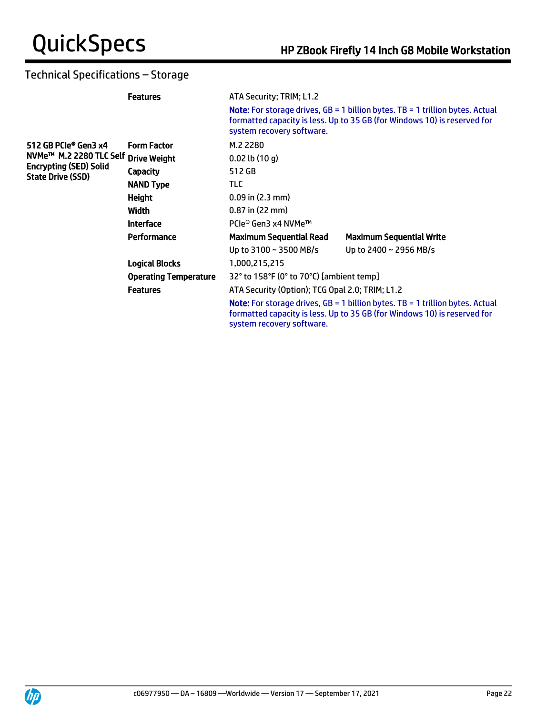# Technical Specifications – Storage

|                                                    | <b>Features</b>              | ATA Security; TRIM; L1.2                        |                                                                                                                                                                    |  |
|----------------------------------------------------|------------------------------|-------------------------------------------------|--------------------------------------------------------------------------------------------------------------------------------------------------------------------|--|
|                                                    |                              | system recovery software.                       | <b>Note:</b> For storage drives, $GB = 1$ billion bytes. TB = 1 trillion bytes. Actual<br>formatted capacity is less. Up to 35 GB (for Windows 10) is reserved for |  |
| 512 GB PCIe® Gen3 x4                               | <b>Form Factor</b>           | M.2 2280                                        |                                                                                                                                                                    |  |
| NVMe™ M.2 2280 TLC Self Drive Weight               |                              | $0.02$ lb $(10q)$                               |                                                                                                                                                                    |  |
| <b>Encrypting (SED) Solid</b><br>State Drive (SSD) | <b>Capacity</b>              | 512 GB                                          |                                                                                                                                                                    |  |
|                                                    | <b>NAND Type</b>             | <b>TLC</b>                                      |                                                                                                                                                                    |  |
|                                                    | <b>Height</b>                | $0.09$ in (2.3 mm)                              |                                                                                                                                                                    |  |
|                                                    | Width                        | $0.87$ in (22 mm)                               |                                                                                                                                                                    |  |
|                                                    | <b>Interface</b>             | PCIe® Gen3 x4 NVMe™                             |                                                                                                                                                                    |  |
|                                                    | Performance                  | <b>Maximum Sequential Read</b>                  | <b>Maximum Sequential Write</b>                                                                                                                                    |  |
|                                                    |                              | Up to $3100 \sim 3500$ MB/s                     | Up to 2400 ~ 2956 MB/s                                                                                                                                             |  |
|                                                    | <b>Logical Blocks</b>        | 1,000,215,215                                   |                                                                                                                                                                    |  |
|                                                    | <b>Operating Temperature</b> | 32° to 158°F (0° to 70°C) [ambient temp]        |                                                                                                                                                                    |  |
|                                                    | <b>Features</b>              | ATA Security (Option); TCG Opal 2.0; TRIM; L1.2 |                                                                                                                                                                    |  |
|                                                    |                              | system recovery software.                       | <b>Note:</b> For storage drives, $GB = 1$ billion bytes. TB = 1 trillion bytes. Actual<br>formatted capacity is less. Up to 35 GB (for Windows 10) is reserved for |  |

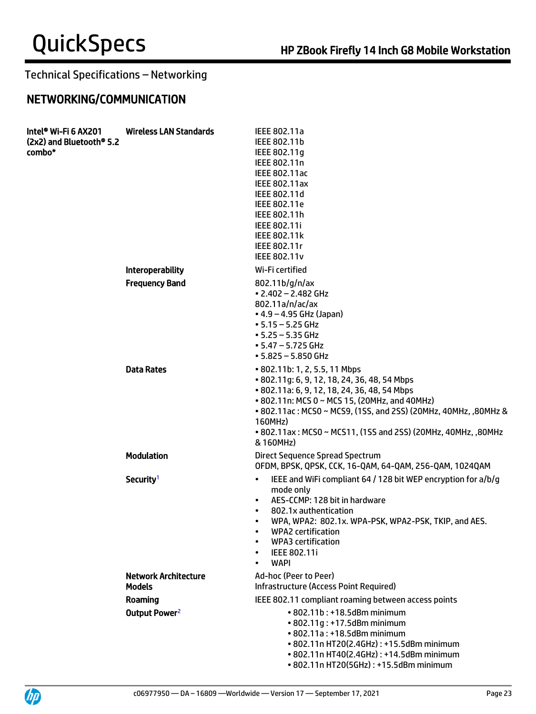# Technical Specifications – Networking

# NETWORKING/COMMUNICATION

| Intel® Wi-Fi 6 AX201<br>(2x2) and Bluetooth <sup>®</sup> 5.2<br>combo* | <b>Wireless LAN Standards</b>                | IEEE 802.11a<br>IEEE 802.11b<br>IEEE 802.11g<br>IEEE 802.11n<br>IEEE 802.11ac<br><b>IEEE 802.11ax</b><br>IEEE 802.11d<br>IEEE 802.11e<br>IEEE 802.11h<br>IEEE 802.11i<br><b>IEEE 802.11k</b><br>IEEE 802.11r<br><b>IEEE 802.11v</b>                                                                                                        |
|------------------------------------------------------------------------|----------------------------------------------|--------------------------------------------------------------------------------------------------------------------------------------------------------------------------------------------------------------------------------------------------------------------------------------------------------------------------------------------|
|                                                                        | Interoperability                             | Wi-Fi certified                                                                                                                                                                                                                                                                                                                            |
|                                                                        | <b>Frequency Band</b>                        | 802.11 $b/g/n/ax$<br>$\cdot$ 2.402 - 2.482 GHz<br>802.11a/n/ac/ax<br>• 4.9 – 4.95 GHz (Japan)<br>$• 5.15 - 5.25$ GHz<br>$• 5.25 - 5.35$ GHz<br>$\cdot$ 5.47 – 5.725 GHz<br>$• 5.825 - 5.850$ GHz                                                                                                                                           |
|                                                                        | <b>Data Rates</b>                            | • 802.11b: 1, 2, 5.5, 11 Mbps<br>• 802.11q: 6, 9, 12, 18, 24, 36, 48, 54 Mbps<br>• 802.11a: 6, 9, 12, 18, 24, 36, 48, 54 Mbps<br>• 802.11n: MCS 0 ~ MCS 15, (20MHz, and 40MHz)<br>• 802.11ac: MCS0 ~ MCS9, (1SS, and 2SS) (20MHz, 40MHz, ,80MHz &<br>160MHz)<br>• 802.11ax: MCS0 ~ MCS11, (1SS and 2SS) (20MHz, 40MHz, ,80MHz<br>& 160MHz) |
|                                                                        | <b>Modulation</b>                            | Direct Sequence Spread Spectrum<br>OFDM, BPSK, QPSK, CCK, 16-QAM, 64-QAM, 256-QAM, 1024QAM                                                                                                                                                                                                                                                 |
|                                                                        | Security <sup>1</sup>                        | IEEE and WiFi compliant 64 / 128 bit WEP encryption for a/b/g<br>$\bullet$<br>mode only<br>AES-CCMP: 128 bit in hardware<br>802.1x authentication<br>WPA, WPA2: 802.1x. WPA-PSK, WPA2-PSK, TKIP, and AES.<br>WPA2 certification<br><b>WPA3</b> certification<br>$\bullet$<br>IEEE 802.11i<br><b>WAPI</b>                                   |
|                                                                        | <b>Network Architecture</b><br><b>Models</b> | Ad-hoc (Peer to Peer)<br><b>Infrastructure (Access Point Required)</b>                                                                                                                                                                                                                                                                     |
|                                                                        | Roaming                                      | IEEE 802.11 compliant roaming between access points                                                                                                                                                                                                                                                                                        |
|                                                                        | Output Power <sup>2</sup>                    | • 802.11b: +18.5dBm minimum<br>• 802.11g: +17.5dBm minimum<br>• 802.11a: +18.5dBm minimum<br>• 802.11n HT20(2.4GHz): +15.5dBm minimum<br>• 802.11n HT40(2.4GHz): +14.5dBm minimum<br>• 802.11n HT20(5GHz): +15.5dBm minimum                                                                                                                |

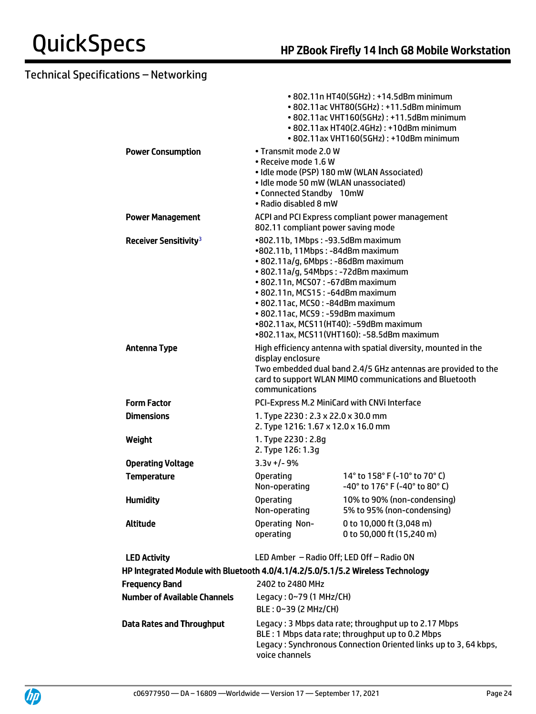|                                                                                 |                                                                                                                                                                                                                                                                                                    | • 802.11n HT40(5GHz): +14.5dBm minimum<br>• 802.11ac VHT80(5GHz): +11.5dBm minimum<br>• 802.11ac VHT160(5GHz): +11.5dBm minimum<br>• 802.11ax HT40(2.4GHz): +10dBm minimum<br>• 802.11ax VHT160(5GHz): +10dBm minimum |
|---------------------------------------------------------------------------------|----------------------------------------------------------------------------------------------------------------------------------------------------------------------------------------------------------------------------------------------------------------------------------------------------|-----------------------------------------------------------------------------------------------------------------------------------------------------------------------------------------------------------------------|
| <b>Power Consumption</b>                                                        | • Transmit mode 2.0 W<br>• Receive mode 1.6 W<br>• Idle mode 50 mW (WLAN unassociated)<br>• Connected Standby 10mW<br>• Radio disabled 8 mW                                                                                                                                                        | • Idle mode (PSP) 180 mW (WLAN Associated)                                                                                                                                                                            |
| <b>Power Management</b>                                                         | 802.11 compliant power saving mode                                                                                                                                                                                                                                                                 | ACPI and PCI Express compliant power management                                                                                                                                                                       |
| Receiver Sensitivity <sup>3</sup>                                               | •802.11b, 1Mbps: -93.5dBm maximum<br>•802.11b, 11Mbps: -84dBm maximum<br>• 802.11a/g, 6Mbps: -86dBm maximum<br>· 802.11a/g, 54Mbps: -72dBm maximum<br>• 802.11n, MCS07: -67dBm maximum<br>• 802.11n, MCS15: -64dBm maximum<br>• 802.11ac, MCS0: -84dBm maximum<br>• 802.11ac, MCS9: -59dBm maximum | •802.11ax, MCS11(HT40): -59dBm maximum<br>•802.11ax, MCS11(VHT160): -58.5dBm maximum                                                                                                                                  |
| <b>Antenna Type</b>                                                             | display enclosure<br>communications                                                                                                                                                                                                                                                                | High efficiency antenna with spatial diversity, mounted in the<br>Two embedded dual band 2.4/5 GHz antennas are provided to the<br>card to support WLAN MIMO communications and Bluetooth                             |
| <b>Form Factor</b>                                                              |                                                                                                                                                                                                                                                                                                    | PCI-Express M.2 MiniCard with CNVi Interface                                                                                                                                                                          |
| <b>Dimensions</b>                                                               | 1. Type 2230: 2.3 x 22.0 x 30.0 mm<br>2. Type 1216: 1.67 x 12.0 x 16.0 mm                                                                                                                                                                                                                          |                                                                                                                                                                                                                       |
| Weight                                                                          | 1. Type 2230 : 2.8g<br>2. Type 126: 1.3g                                                                                                                                                                                                                                                           |                                                                                                                                                                                                                       |
| <b>Operating Voltage</b>                                                        | $3.3v + 1 - 9%$                                                                                                                                                                                                                                                                                    |                                                                                                                                                                                                                       |
| <b>Temperature</b>                                                              | <b>Operating</b><br>Non-operating                                                                                                                                                                                                                                                                  | 14° to 158° F (-10° to 70° C)<br>$-40^{\circ}$ to 176 $^{\circ}$ F (-40 $^{\circ}$ to 80 $^{\circ}$ C)                                                                                                                |
| <b>Humidity</b>                                                                 | <b>Operating</b><br>Non-operating                                                                                                                                                                                                                                                                  | 10% to 90% (non-condensing)<br>5% to 95% (non-condensing)                                                                                                                                                             |
| <b>Altitude</b>                                                                 | <b>Operating Non-</b><br>operating                                                                                                                                                                                                                                                                 | 0 to 10,000 ft (3,048 m)<br>0 to 50,000 ft (15,240 m)                                                                                                                                                                 |
| <b>LED Activity</b>                                                             |                                                                                                                                                                                                                                                                                                    | LED Amber - Radio Off; LED Off - Radio ON                                                                                                                                                                             |
| HP Integrated Module with Bluetooth 4.0/4.1/4.2/5.0/5.1/5.2 Wireless Technology |                                                                                                                                                                                                                                                                                                    |                                                                                                                                                                                                                       |
| <b>Frequency Band</b>                                                           | 2402 to 2480 MHz                                                                                                                                                                                                                                                                                   |                                                                                                                                                                                                                       |
| <b>Number of Available Channels</b>                                             | Legacy: 0~79 (1 MHz/CH)<br>BLE: 0~39 (2 MHz/CH)                                                                                                                                                                                                                                                    |                                                                                                                                                                                                                       |
| <b>Data Rates and Throughput</b>                                                |                                                                                                                                                                                                                                                                                                    | Legacy: 3 Mbps data rate; throughput up to 2.17 Mbps<br>BLE : 1 Mbps data rate; throughput up to 0.2 Mbps<br>Legacy: Synchronous Connection Oriented links up to 3, 64 kbps,                                          |



voice channels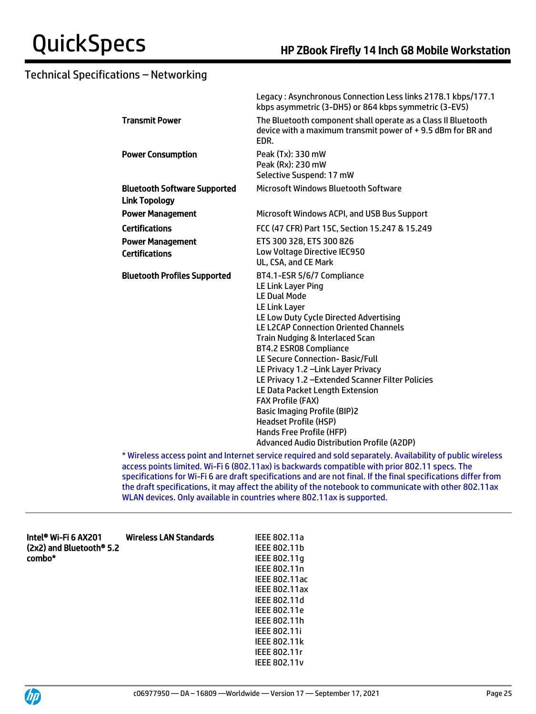|                                                             | Legacy: Asynchronous Connection Less links 2178.1 kbps/177.1<br>kbps asymmetric (3-DH5) or 864 kbps symmetric (3-EV5)                                                                                                                                                                                                                                                                                                                                                                                                                                                                                                       |
|-------------------------------------------------------------|-----------------------------------------------------------------------------------------------------------------------------------------------------------------------------------------------------------------------------------------------------------------------------------------------------------------------------------------------------------------------------------------------------------------------------------------------------------------------------------------------------------------------------------------------------------------------------------------------------------------------------|
| <b>Transmit Power</b>                                       | The Bluetooth component shall operate as a Class II Bluetooth<br>device with a maximum transmit power of +9.5 dBm for BR and<br>EDR.                                                                                                                                                                                                                                                                                                                                                                                                                                                                                        |
| <b>Power Consumption</b>                                    | Peak (Tx): 330 mW<br>Peak (Rx): 230 mW<br>Selective Suspend: 17 mW                                                                                                                                                                                                                                                                                                                                                                                                                                                                                                                                                          |
| <b>Bluetooth Software Supported</b><br><b>Link Topology</b> | Microsoft Windows Bluetooth Software                                                                                                                                                                                                                                                                                                                                                                                                                                                                                                                                                                                        |
| <b>Power Management</b>                                     | Microsoft Windows ACPI, and USB Bus Support                                                                                                                                                                                                                                                                                                                                                                                                                                                                                                                                                                                 |
| <b>Certifications</b>                                       | FCC (47 CFR) Part 15C, Section 15.247 & 15.249                                                                                                                                                                                                                                                                                                                                                                                                                                                                                                                                                                              |
| <b>Power Management</b>                                     | ETS 300 328, ETS 300 826                                                                                                                                                                                                                                                                                                                                                                                                                                                                                                                                                                                                    |
| <b>Certifications</b>                                       | Low Voltage Directive IEC950<br>UL, CSA, and CE Mark                                                                                                                                                                                                                                                                                                                                                                                                                                                                                                                                                                        |
| <b>Bluetooth Profiles Supported</b>                         | BT4.1-ESR 5/6/7 Compliance<br><b>LE Link Layer Ping</b><br><b>LE Dual Mode</b><br><b>LE Link Layer</b><br>LE Low Duty Cycle Directed Advertising<br><b>LE L2CAP Connection Oriented Channels</b><br>Train Nudging & Interlaced Scan<br><b>BT4.2 ESR08 Compliance</b><br>LE Secure Connection- Basic/Full<br>LE Privacy 1.2 - Link Layer Privacy<br>LE Privacy 1.2 - Extended Scanner Filter Policies<br>LE Data Packet Length Extension<br><b>FAX Profile (FAX)</b><br><b>Basic Imaging Profile (BIP)2</b><br><b>Headset Profile (HSP)</b><br>Hands Free Profile (HFP)<br><b>Advanced Audio Distribution Profile (A2DP)</b> |
|                                                             | thlippings according and internet cervice required and sold conarately. Augustablity of public wirelest                                                                                                                                                                                                                                                                                                                                                                                                                                                                                                                     |

Wireless access point and Internet service required and sold separately. Availability of public wireless access points limited. Wi-Fi 6 (802.11ax) is backwards compatible with prior 802.11 specs. The specifications for Wi-Fi 6 are draft specifications and are not final. If the final specifications differ from the draft specifications, it may affect the ability of the notebook to communicate with other 802.11ax WLAN devices. Only available in countries where 802.11ax is supported.

| Intel® Wi-Fi 6 AX201<br>(2x2) and Bluetooth® 5.2<br>combo* | Wireless LAN Standards | IEEE 802.11a<br>IEEE 802.11b<br>IEEE 802.11q<br>IEEE 802.11n<br>IEEE 802.11ac<br><b>IEEE 802.11ax</b><br>IEEE 802.11d<br>IEEE 802.11e |
|------------------------------------------------------------|------------------------|---------------------------------------------------------------------------------------------------------------------------------------|
|                                                            |                        |                                                                                                                                       |
|                                                            |                        | IEEE 802.11h                                                                                                                          |
|                                                            |                        | <b>IEEE 802.11i</b>                                                                                                                   |
|                                                            |                        | <b>IEEE 802.11k</b>                                                                                                                   |
|                                                            |                        | IEEE 802.11r                                                                                                                          |



IEEE 802.11v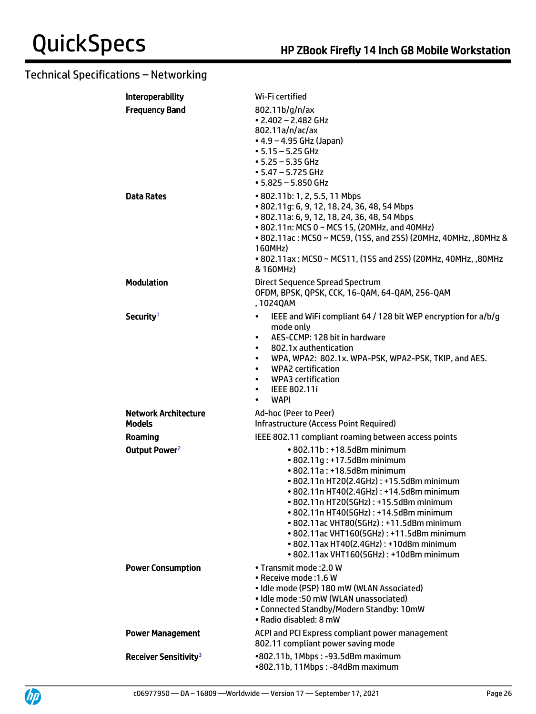# Technical Specifications – Networking

| <b>Interoperability</b>                    | Wi-Fi certified                                                                                                                                                                                                                                                                                                                                                                                                                                      |
|--------------------------------------------|------------------------------------------------------------------------------------------------------------------------------------------------------------------------------------------------------------------------------------------------------------------------------------------------------------------------------------------------------------------------------------------------------------------------------------------------------|
| <b>Frequency Band</b><br><b>Data Rates</b> | 802.11b/g/n/ax<br>$\cdot$ 2.402 - 2.482 GHz<br>802.11a/n/ac/ax<br>• 4.9 – 4.95 GHz (Japan)<br>$• 5.15 - 5.25$ GHz<br>$• 5.25 - 5.35$ GHz<br>• 5.47 – 5.725 GHz<br>$• 5.825 - 5.850$ GHz<br>• 802.11b: 1, 2, 5.5, 11 Mbps                                                                                                                                                                                                                             |
|                                            | • 802.11g: 6, 9, 12, 18, 24, 36, 48, 54 Mbps<br>• 802.11a: 6, 9, 12, 18, 24, 36, 48, 54 Mbps<br>• 802.11n: MCS 0 ~ MCS 15, (20MHz, and 40MHz)<br>• 802.11ac: MCS0 ~ MCS9, (1SS, and 2SS) (20MHz, 40MHz, ,80MHz &<br>160MHz)<br>• 802.11ax: MCS0 ~ MCS11, (1SS and 2SS) (20MHz, 40MHz, ,80MHz<br>& 160MHz)                                                                                                                                            |
| <b>Modulation</b>                          | Direct Sequence Spread Spectrum<br>OFDM, BPSK, QPSK, CCK, 16-QAM, 64-QAM, 256-QAM<br>, 1024QAM                                                                                                                                                                                                                                                                                                                                                       |
| Security <sup>1</sup>                      | IEEE and WiFi compliant 64 / 128 bit WEP encryption for a/b/g<br>$\bullet$<br>mode only<br>AES-CCMP: 128 bit in hardware<br>$\bullet$<br>802.1x authentication<br>$\bullet$<br>WPA, WPA2: 802.1x. WPA-PSK, WPA2-PSK, TKIP, and AES.<br>$\bullet$<br><b>WPA2</b> certification<br>$\bullet$<br><b>WPA3</b> certification<br>$\bullet$<br><b>IEEE 802.11i</b><br>$\bullet$<br><b>WAPI</b>                                                              |
| <b>Network Architecture</b>                | Ad-hoc (Peer to Peer)                                                                                                                                                                                                                                                                                                                                                                                                                                |
| Models                                     | Infrastructure (Access Point Required)                                                                                                                                                                                                                                                                                                                                                                                                               |
| Roaming                                    | IEEE 802.11 compliant roaming between access points                                                                                                                                                                                                                                                                                                                                                                                                  |
| Output Power <sup>2</sup>                  | • 802.11b: +18.5dBm minimum<br>• 802.11g: +17.5dBm minimum<br>• 802.11a: +18.5dBm minimum<br>• 802.11n HT20(2.4GHz): +15.5dBm minimum<br>• 802.11n HT40(2.4GHz): +14.5dBm minimum<br>• 802.11n HT20(5GHz): +15.5dBm minimum<br>• 802.11n HT40(5GHz): +14.5dBm minimum<br>• 802.11ac VHT80(5GHz): +11.5dBm minimum<br>• 802.11ac VHT160(5GHz): +11.5dBm minimum<br>• 802.11ax HT40(2.4GHz): +10dBm minimum<br>• 802.11ax VHT160(5GHz): +10dBm minimum |
| <b>Power Consumption</b>                   | • Transmit mode: 2.0 W<br>· Receive mode : 1.6 W<br>· Idle mode (PSP) 180 mW (WLAN Associated)<br>• Idle mode: 50 mW (WLAN unassociated)<br>• Connected Standby/Modern Standby: 10mW<br>· Radio disabled: 8 mW                                                                                                                                                                                                                                       |
| <b>Power Management</b>                    | ACPI and PCI Express compliant power management<br>802.11 compliant power saving mode                                                                                                                                                                                                                                                                                                                                                                |
| Receiver Sensitivity <sup>3</sup>          | •802.11b, 1Mbps: -93.5dBm maximum<br>•802.11b, 11Mbps: -84dBm maximum                                                                                                                                                                                                                                                                                                                                                                                |

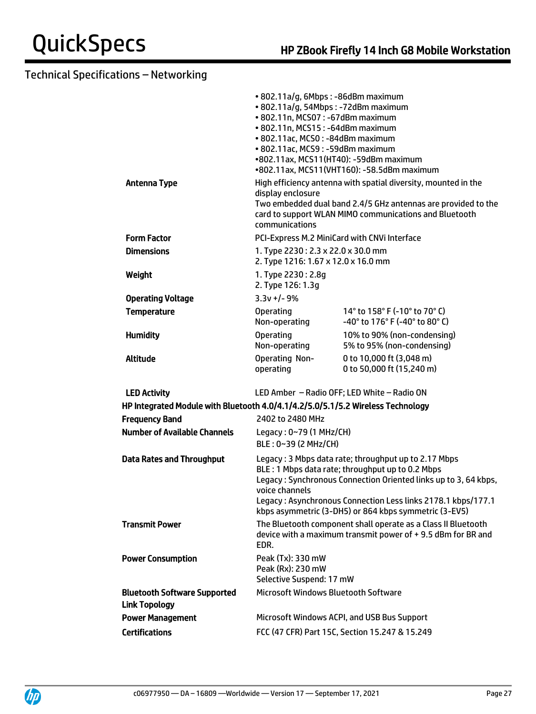|                                                                                 | • 802.11a/g, 6Mbps : -86dBm maximum<br>· 802.11a/g, 54Mbps: -72dBm maximum<br>• 802.11n, MCS07: -67dBm maximum<br>• 802.11n, MCS15: -64dBm maximum<br>· 802.11ac, MCS0: -84dBm maximum<br>• 802.11ac, MCS9: -59dBm maximum | •802.11ax, MCS11(HT40): -59dBm maximum<br>•802.11ax, MCS11(VHT160): -58.5dBm maximum                                                                                                                                                                                                                 |
|---------------------------------------------------------------------------------|----------------------------------------------------------------------------------------------------------------------------------------------------------------------------------------------------------------------------|------------------------------------------------------------------------------------------------------------------------------------------------------------------------------------------------------------------------------------------------------------------------------------------------------|
| <b>Antenna Type</b>                                                             | display enclosure<br>communications                                                                                                                                                                                        | High efficiency antenna with spatial diversity, mounted in the<br>Two embedded dual band 2.4/5 GHz antennas are provided to the<br>card to support WLAN MIMO communications and Bluetooth                                                                                                            |
| <b>Form Factor</b>                                                              |                                                                                                                                                                                                                            | PCI-Express M.2 MiniCard with CNVi Interface                                                                                                                                                                                                                                                         |
| <b>Dimensions</b>                                                               | 1. Type 2230: 2.3 x 22.0 x 30.0 mm<br>2. Type 1216: 1.67 x 12.0 x 16.0 mm                                                                                                                                                  |                                                                                                                                                                                                                                                                                                      |
| Weight                                                                          | 1. Type 2230: 2.8q<br>2. Type 126: 1.3g                                                                                                                                                                                    |                                                                                                                                                                                                                                                                                                      |
| <b>Operating Voltage</b>                                                        | $3.3v + 1 - 9%$                                                                                                                                                                                                            |                                                                                                                                                                                                                                                                                                      |
| <b>Temperature</b>                                                              | <b>Operating</b><br>Non-operating                                                                                                                                                                                          | 14° to 158° F (-10° to 70° C)<br>-40° to 176° F (-40° to 80° C)                                                                                                                                                                                                                                      |
| <b>Humidity</b>                                                                 | <b>Operating</b><br>Non-operating                                                                                                                                                                                          | 10% to 90% (non-condensing)<br>5% to 95% (non-condensing)                                                                                                                                                                                                                                            |
| <b>Altitude</b>                                                                 | <b>Operating Non-</b><br>operating                                                                                                                                                                                         | 0 to 10,000 ft (3,048 m)<br>0 to 50,000 ft (15,240 m)                                                                                                                                                                                                                                                |
| <b>LED Activity</b>                                                             |                                                                                                                                                                                                                            | LED Amber - Radio OFF; LED White - Radio ON                                                                                                                                                                                                                                                          |
| HP Integrated Module with Bluetooth 4.0/4.1/4.2/5.0/5.1/5.2 Wireless Technology |                                                                                                                                                                                                                            |                                                                                                                                                                                                                                                                                                      |
| <b>Frequency Band</b>                                                           | 2402 to 2480 MHz                                                                                                                                                                                                           |                                                                                                                                                                                                                                                                                                      |
| <b>Number of Available Channels</b>                                             | Legacy: 0~79 (1 MHz/CH)<br>BLE: 0~39 (2 MHz/CH)                                                                                                                                                                            |                                                                                                                                                                                                                                                                                                      |
| <b>Data Rates and Throughput</b>                                                | voice channels                                                                                                                                                                                                             | Legacy: 3 Mbps data rate; throughput up to 2.17 Mbps<br>BLE: 1 Mbps data rate; throughput up to 0.2 Mbps<br>Legacy: Synchronous Connection Oriented links up to 3, 64 kbps,<br>Legacy: Asynchronous Connection Less links 2178.1 kbps/177.1<br>kbps asymmetric (3-DH5) or 864 kbps symmetric (3-EV5) |
| <b>Transmit Power</b>                                                           | EDR.                                                                                                                                                                                                                       | The Bluetooth component shall operate as a Class II Bluetooth<br>device with a maximum transmit power of +9.5 dBm for BR and                                                                                                                                                                         |
| <b>Power Consumption</b>                                                        | Peak (Tx): 330 mW<br>Peak (Rx): 230 mW<br>Selective Suspend: 17 mW                                                                                                                                                         |                                                                                                                                                                                                                                                                                                      |
| <b>Bluetooth Software Supported</b><br><b>Link Topology</b>                     | Microsoft Windows Bluetooth Software                                                                                                                                                                                       |                                                                                                                                                                                                                                                                                                      |
| <b>Power Management</b>                                                         |                                                                                                                                                                                                                            | Microsoft Windows ACPI, and USB Bus Support                                                                                                                                                                                                                                                          |
| <b>Certifications</b>                                                           |                                                                                                                                                                                                                            | FCC (47 CFR) Part 15C, Section 15.247 & 15.249                                                                                                                                                                                                                                                       |

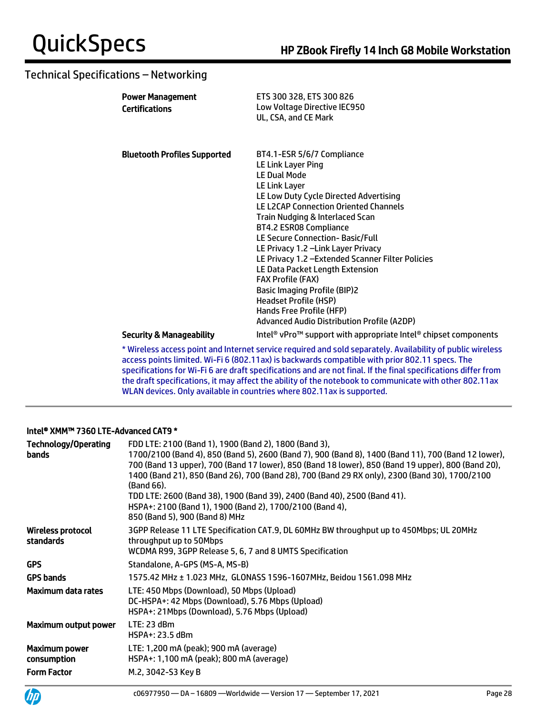| <b>Power Management</b><br><b>Certifications</b> | ETS 300 328, ETS 300 826<br>Low Voltage Directive IEC950<br>UL, CSA, and CE Mark                                                                                                                                                                                                                                                                                                                                                                                                                                                                 |
|--------------------------------------------------|--------------------------------------------------------------------------------------------------------------------------------------------------------------------------------------------------------------------------------------------------------------------------------------------------------------------------------------------------------------------------------------------------------------------------------------------------------------------------------------------------------------------------------------------------|
| <b>Bluetooth Profiles Supported</b>              | BT4.1-ESR 5/6/7 Compliance<br>LE Link Layer Ping<br><b>LE Dual Mode</b><br>LE Link Layer<br>LE Low Duty Cycle Directed Advertising<br><b>LE L2CAP Connection Oriented Channels</b><br>Train Nudging & Interlaced Scan<br>BT4.2 ESR08 Compliance<br>LE Secure Connection-Basic/Full<br>LE Privacy 1.2 - Link Layer Privacy<br>LE Privacy 1.2 - Extended Scanner Filter Policies<br>LE Data Packet Length Extension<br><b>FAX Profile (FAX)</b><br><b>Basic Imaging Profile (BIP)2</b><br><b>Headset Profile (HSP)</b><br>Hands Free Profile (HFP) |
| <b>Security &amp; Manageability</b>              | <b>Advanced Audio Distribution Profile (A2DP)</b><br>Intel <sup>®</sup> vPro <sup>™</sup> support with appropriate Intel® chipset components                                                                                                                                                                                                                                                                                                                                                                                                     |

\* Wireless access point and Internet service required and sold separately. Availability of public wireless access points limited. Wi-Fi 6 (802.11ax) is backwards compatible with prior 802.11 specs. The specifications for Wi-Fi 6 are draft specifications and are not final. If the final specifications differ from the draft specifications, it may affect the ability of the notebook to communicate with other 802.11ax WLAN devices. Only available in countries where 802.11ax is supported.

#### Intel® XMM™ 7360 LTE-Advanced CAT9 \*

| <b>Technology/Operating</b><br>bands  | FDD LTE: 2100 (Band 1), 1900 (Band 2), 1800 (Band 3),<br>1700/2100 (Band 4), 850 (Band 5), 2600 (Band 7), 900 (Band 8), 1400 (Band 11), 700 (Band 12 lower),<br>700 (Band 13 upper), 700 (Band 17 lower), 850 (Band 18 lower), 850 (Band 19 upper), 800 (Band 20),<br>1400 (Band 21), 850 (Band 26), 700 (Band 28), 700 (Band 29 RX only), 2300 (Band 30), 1700/2100<br>(Band 66).<br>TDD LTE: 2600 (Band 38), 1900 (Band 39), 2400 (Band 40), 2500 (Band 41).<br>HSPA+: 2100 (Band 1), 1900 (Band 2), 1700/2100 (Band 4),<br>850 (Band 5), 900 (Band 8) MHz |
|---------------------------------------|--------------------------------------------------------------------------------------------------------------------------------------------------------------------------------------------------------------------------------------------------------------------------------------------------------------------------------------------------------------------------------------------------------------------------------------------------------------------------------------------------------------------------------------------------------------|
| <b>Wireless protocol</b><br>standards | 3GPP Release 11 LTE Specification CAT.9, DL 60MHz BW throughput up to 450Mbps; UL 20MHz<br>throughput up to 50Mbps<br>WCDMA R99, 3GPP Release 5, 6, 7 and 8 UMTS Specification                                                                                                                                                                                                                                                                                                                                                                               |
| <b>GPS</b>                            | Standalone. A-GPS (MS-A. MS-B)                                                                                                                                                                                                                                                                                                                                                                                                                                                                                                                               |
| <b>GPS bands</b>                      | 1575.42 MHz ± 1.023 MHz, GLONASS 1596-1607MHz, Beidou 1561.098 MHz                                                                                                                                                                                                                                                                                                                                                                                                                                                                                           |
| Maximum data rates                    | LTE: 450 Mbps (Download), 50 Mbps (Upload)<br>DC-HSPA+: 42 Mbps (Download), 5.76 Mbps (Upload)<br>HSPA+: 21Mbps (Download), 5.76 Mbps (Upload)                                                                                                                                                                                                                                                                                                                                                                                                               |
| Maximum output power                  | LTE: 23 dBm<br>HSPA+: 23.5 dBm                                                                                                                                                                                                                                                                                                                                                                                                                                                                                                                               |
| Maximum power<br>consumption          | LTE: 1,200 mA (peak); 900 mA (average)<br>HSPA+: 1,100 mA (peak); 800 mA (average)                                                                                                                                                                                                                                                                                                                                                                                                                                                                           |
| <b>Form Factor</b>                    | M.2, 3042-S3 Key B                                                                                                                                                                                                                                                                                                                                                                                                                                                                                                                                           |

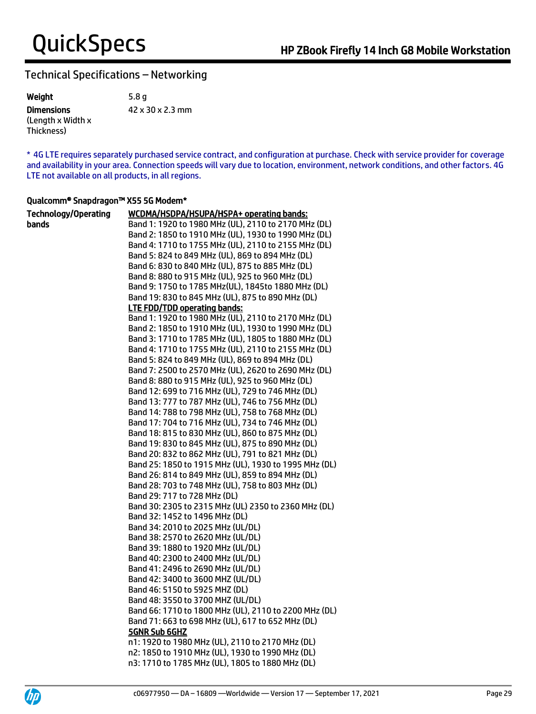Weight 5.8 g **Dimensions** (Length x Width x Thickness) 42 x 30 x 2.3 mm

\* 4G LTE requires separately purchased service contract, and configuration at purchase. Check with service provider for coverage and availability in your area. Connection speeds will vary due to location, environment, network conditions, and other factors. 4G LTE not available on all products, in all regions.

#### Qualcomm® Snapdragon™ X55 5G Modem\*

| <b>Technology/Operating</b> | WCDMA/HSDPA/HSUPA/HSPA+ operating bands:                           |
|-----------------------------|--------------------------------------------------------------------|
| bands                       | Band 1: 1920 to 1980 MHz (UL), 2110 to 2170 MHz (DL)               |
|                             | Band 2: 1850 to 1910 MHz (UL), 1930 to 1990 MHz (DL)               |
|                             | Band 4: 1710 to 1755 MHz (UL), 2110 to 2155 MHz (DL)               |
|                             | Band 5: 824 to 849 MHz (UL), 869 to 894 MHz (DL)                   |
|                             | Band 6: 830 to 840 MHz (UL), 875 to 885 MHz (DL)                   |
|                             | Band 8: 880 to 915 MHz (UL), 925 to 960 MHz (DL)                   |
|                             | Band 9: 1750 to 1785 MHz(UL), 1845to 1880 MHz (DL)                 |
|                             | Band 19: 830 to 845 MHz (UL), 875 to 890 MHz (DL)                  |
|                             | <b>LTE FDD/TDD operating bands:</b>                                |
|                             | Band 1: 1920 to 1980 MHz (UL), 2110 to 2170 MHz (DL)               |
|                             | Band 2: 1850 to 1910 MHz (UL), 1930 to 1990 MHz (DL)               |
|                             | Band 3: 1710 to 1785 MHz (UL), 1805 to 1880 MHz (DL)               |
|                             | Band 4: 1710 to 1755 MHz (UL), 2110 to 2155 MHz (DL)               |
|                             | Band 5: 824 to 849 MHz (UL), 869 to 894 MHz (DL)                   |
|                             | Band 7: 2500 to 2570 MHz (UL), 2620 to 2690 MHz (DL)               |
|                             | Band 8: 880 to 915 MHz (UL), 925 to 960 MHz (DL)                   |
|                             | Band 12: 699 to 716 MHz (UL), 729 to 746 MHz (DL)                  |
|                             | Band 13: 777 to 787 MHz (UL), 746 to 756 MHz (DL)                  |
|                             | Band 14: 788 to 798 MHz (UL), 758 to 768 MHz (DL)                  |
|                             | Band 17: 704 to 716 MHz (UL), 734 to 746 MHz (DL)                  |
|                             | Band 18: 815 to 830 MHz (UL), 860 to 875 MHz (DL)                  |
|                             | Band 19: 830 to 845 MHz (UL), 875 to 890 MHz (DL)                  |
|                             | Band 20: 832 to 862 MHz (UL), 791 to 821 MHz (DL)                  |
|                             | Band 25: 1850 to 1915 MHz (UL), 1930 to 1995 MHz (DL)              |
|                             | Band 26: 814 to 849 MHz (UL), 859 to 894 MHz (DL)                  |
|                             | Band 28: 703 to 748 MHz (UL), 758 to 803 MHz (DL)                  |
|                             | Band 29: 717 to 728 MHz (DL)                                       |
|                             | Band 30: 2305 to 2315 MHz (UL) 2350 to 2360 MHz (DL)               |
|                             | Band 32: 1452 to 1496 MHz (DL)                                     |
|                             | Band 34: 2010 to 2025 MHz (UL/DL)                                  |
|                             | Band 38: 2570 to 2620 MHz (UL/DL)                                  |
|                             | Band 39: 1880 to 1920 MHz (UL/DL)                                  |
|                             | Band 40: 2300 to 2400 MHz (UL/DL)                                  |
|                             | Band 41: 2496 to 2690 MHz (UL/DL)                                  |
|                             | Band 42: 3400 to 3600 MHZ (UL/DL)                                  |
|                             | Band 46: 5150 to 5925 MHZ (DL)                                     |
|                             | Band 48: 3550 to 3700 MHZ (UL/DL)                                  |
|                             | Band 66: 1710 to 1800 MHz (UL), 2110 to 2200 MHz (DL)              |
|                             | Band 71: 663 to 698 MHz (UL), 617 to 652 MHz (DL)<br>5GNR Sub 6GHZ |
|                             | n1: 1920 to 1980 MHz (UL), 2110 to 2170 MHz (DL)                   |
|                             | n2: 1850 to 1910 MHz (UL), 1930 to 1990 MHz (DL)                   |
|                             | n3: 1710 to 1785 MHz (UL), 1805 to 1880 MHz (DL)                   |
|                             |                                                                    |

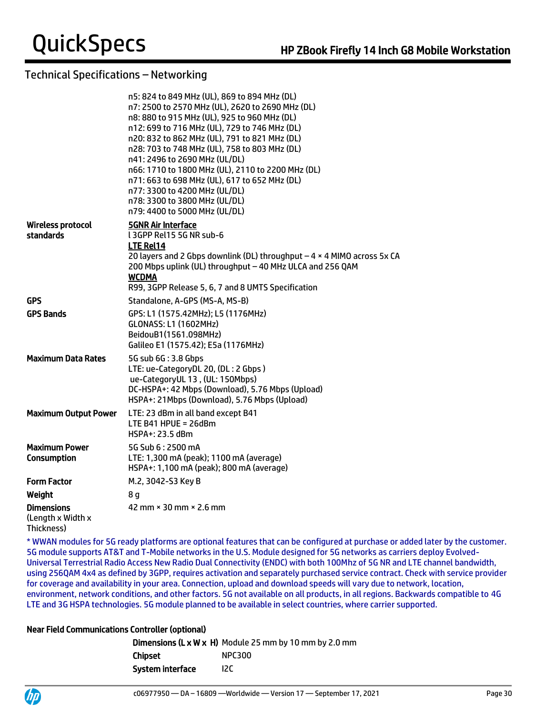|                                            | n5: 824 to 849 MHz (UL), 869 to 894 MHz (DL)<br>n7: 2500 to 2570 MHz (UL), 2620 to 2690 MHz (DL)<br>n8: 880 to 915 MHz (UL), 925 to 960 MHz (DL)<br>n12: 699 to 716 MHz (UL), 729 to 746 MHz (DL)<br>n20: 832 to 862 MHz (UL), 791 to 821 MHz (DL)<br>n28: 703 to 748 MHz (UL), 758 to 803 MHz (DL)<br>n41: 2496 to 2690 MHz (UL/DL)<br>n66: 1710 to 1800 MHz (UL), 2110 to 2200 MHz (DL)<br>n71: 663 to 698 MHz (UL), 617 to 652 MHz (DL)<br>n77: 3300 to 4200 MHz (UL/DL)<br>n78: 3300 to 3800 MHz (UL/DL)<br>n79: 4400 to 5000 MHz (UL/DL) |
|--------------------------------------------|-----------------------------------------------------------------------------------------------------------------------------------------------------------------------------------------------------------------------------------------------------------------------------------------------------------------------------------------------------------------------------------------------------------------------------------------------------------------------------------------------------------------------------------------------|
| Wireless protocol<br>standards             | <b>5GNR Air Interface</b><br>L3GPP Rel15 5G NR sub-6<br>LTE Rel14<br>20 layers and 2 Gbps downlink (DL) throughput $-4 \times 4$ MIMO across 5x CA<br>200 Mbps uplink (UL) throughput - 40 MHz ULCA and 256 QAM<br><b>WCDMA</b><br>R99, 3GPP Release 5, 6, 7 and 8 UMTS Specification                                                                                                                                                                                                                                                         |
| <b>GPS</b>                                 | Standalone, A-GPS (MS-A, MS-B)                                                                                                                                                                                                                                                                                                                                                                                                                                                                                                                |
| <b>GPS Bands</b>                           | GPS: L1 (1575.42MHz); L5 (1176MHz)<br><b>GLONASS: L1 (1602MHz)</b><br>BeidouB1(1561.098MHz)<br>Galileo E1 (1575.42); E5a (1176MHz)                                                                                                                                                                                                                                                                                                                                                                                                            |
| <b>Maximum Data Rates</b>                  | 5G sub 6G: 3.8 Gbps<br>LTE: ue-CategoryDL 20, (DL: 2 Gbps)<br>ue-CategoryUL 13, (UL: 150Mbps)<br>DC-HSPA+: 42 Mbps (Download), 5.76 Mbps (Upload)<br>HSPA+: 21Mbps (Download), 5.76 Mbps (Upload)                                                                                                                                                                                                                                                                                                                                             |
| <b>Maximum Output Power</b>                | LTE: 23 dBm in all band except B41<br>LTE B41 HPUE = $26dBm$<br>HSPA+: 23.5 dBm                                                                                                                                                                                                                                                                                                                                                                                                                                                               |
| <b>Maximum Power</b><br><b>Consumption</b> | 5G Sub 6:2500 mA<br>LTE: 1,300 mA (peak); 1100 mA (average)<br>HSPA+: 1,100 mA (peak); 800 mA (average)                                                                                                                                                                                                                                                                                                                                                                                                                                       |
| <b>Form Factor</b>                         | M.2, 3042-S3 Key B                                                                                                                                                                                                                                                                                                                                                                                                                                                                                                                            |
| Weight                                     | 8 g                                                                                                                                                                                                                                                                                                                                                                                                                                                                                                                                           |
| <b>Dimensions</b><br>(Length x Width x     | 42 mm $\times$ 30 mm $\times$ 2.6 mm                                                                                                                                                                                                                                                                                                                                                                                                                                                                                                          |

Thickness)

\* WWAN modules for 5G ready platforms are optional features that can be configured at purchase or added later by the customer. 5G module supports AT&T and T-Mobile networks in the U.S. Module designed for 5G networks as carriers deploy Evolved-Universal Terrestrial Radio Access New Radio Dual Connectivity (ENDC) with both 100Mhz of 5G NR and LTE channel bandwidth, using 256QAM 4x4 as defined by 3GPP, requires activation and separately purchased service contract. Check with service provider for coverage and availability in your area. Connection, upload and download speeds will vary due to network, location, environment, network conditions, and other factors. 5G not available on all products, in all regions. Backwards compatible to 4G LTE and 3G HSPA technologies. 5G module planned to be available in select countries, where carrier supported.

#### Near Field Communications Controller (optional)

|                  | <b>Dimensions (L x W x H)</b> Module 25 mm by 10 mm by 2.0 mm |
|------------------|---------------------------------------------------------------|
| Chipset          | <b>NPC300</b>                                                 |
| System interface | 12C                                                           |

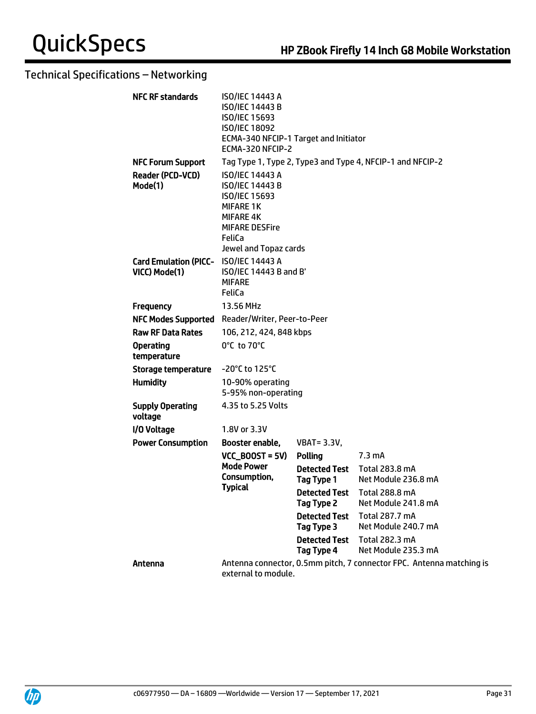| <b>NFC RF standards</b>                                | <b>ISO/IEC 14443 A</b><br>ISO/IEC 14443 B<br>ISO/IEC 15693<br><b>ISO/IEC 18092</b><br>ECMA-340 NFCIP-1 Target and Initiator<br>ECMA-320 NFCIP-2                |                                    |                                                                      |
|--------------------------------------------------------|----------------------------------------------------------------------------------------------------------------------------------------------------------------|------------------------------------|----------------------------------------------------------------------|
| <b>NFC Forum Support</b>                               |                                                                                                                                                                |                                    | Tag Type 1, Type 2, Type3 and Type 4, NFCIP-1 and NFCIP-2            |
| <b>Reader (PCD-VCD)</b><br>Mode(1)                     | <b>ISO/IEC 14443 A</b><br>ISO/IEC 14443 B<br><b>ISO/IEC 15693</b><br><b>MIFARE 1K</b><br>MIFARE 4K<br><b>MIFARE DESFire</b><br>FeliCa<br>Jewel and Topaz cards |                                    |                                                                      |
| Card Emulation (PICC- ISO/IEC 14443 A<br>VICC) Mode(1) | ISO/IEC 14443 B and B'<br><b>MIFARE</b><br>FeliCa                                                                                                              |                                    |                                                                      |
| <b>Frequency</b>                                       | 13.56 MHz                                                                                                                                                      |                                    |                                                                      |
| NFC Modes Supported Reader/Writer, Peer-to-Peer        |                                                                                                                                                                |                                    |                                                                      |
| <b>Raw RF Data Rates</b>                               | 106, 212, 424, 848 kbps                                                                                                                                        |                                    |                                                                      |
| <b>Operating</b><br>temperature                        | 0°C to 70°C                                                                                                                                                    |                                    |                                                                      |
| Storage temperature                                    | $-20^{\circ}$ C to 125 $^{\circ}$ C                                                                                                                            |                                    |                                                                      |
| <b>Humidity</b>                                        | 10-90% operating<br>5-95% non-operating                                                                                                                        |                                    |                                                                      |
| <b>Supply Operating</b><br>voltage                     | 4.35 to 5.25 Volts                                                                                                                                             |                                    |                                                                      |
| I/O Voltage                                            | 1.8V or 3.3V                                                                                                                                                   |                                    |                                                                      |
| <b>Power Consumption</b>                               | Booster enable,                                                                                                                                                | <b>VBAT=3.3V,</b>                  |                                                                      |
|                                                        | $VCC_B00ST = 5V$                                                                                                                                               | <b>Polling</b>                     | 7.3 mA                                                               |
|                                                        | <b>Mode Power</b><br>Consumption,<br><b>Typical</b>                                                                                                            | <b>Detected Test</b><br>Tag Type 1 | Total 283.8 mA<br>Net Module 236.8 mA                                |
|                                                        |                                                                                                                                                                | Detected Test<br>Tag Type 2        | Total 288.8 mA<br>Net Module 241.8 mA                                |
|                                                        |                                                                                                                                                                | <b>Detected Test</b><br>Tag Type 3 | Total 287.7 mA<br>Net Module 240.7 mA                                |
|                                                        |                                                                                                                                                                | <b>Detected Test</b><br>Tag Type 4 | Total 282.3 mA<br>Net Module 235.3 mA                                |
| Antenna                                                | external to module.                                                                                                                                            |                                    | Antenna connector, 0.5mm pitch, 7 connector FPC. Antenna matching is |

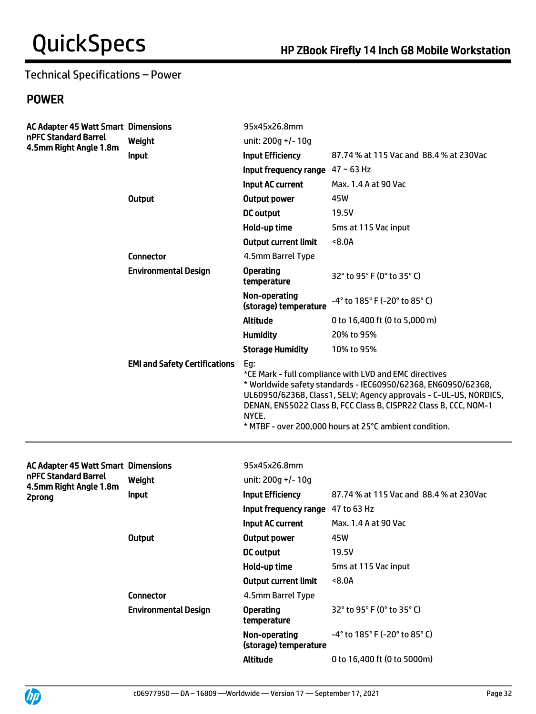# Technical Specifications – Power

# POWER

| <b>AC Adapter 45 Watt Smart Dimensions</b><br>nPFC Standard Barrel<br>4.5mm Right Angle 1.8m |                                                                                                                                                                                                                                                                                                                                                                                    | 95x45x26.8mm                                 |                                         |
|----------------------------------------------------------------------------------------------|------------------------------------------------------------------------------------------------------------------------------------------------------------------------------------------------------------------------------------------------------------------------------------------------------------------------------------------------------------------------------------|----------------------------------------------|-----------------------------------------|
|                                                                                              | Weight                                                                                                                                                                                                                                                                                                                                                                             | unit: 200g +/- 10g                           |                                         |
|                                                                                              | Input                                                                                                                                                                                                                                                                                                                                                                              | <b>Input Efficiency</b>                      | 87.74 % at 115 Vac and 88.4 % at 230Vac |
|                                                                                              |                                                                                                                                                                                                                                                                                                                                                                                    | Input frequency range $47 \sim 63$ Hz        |                                         |
|                                                                                              |                                                                                                                                                                                                                                                                                                                                                                                    | Input AC current                             | Max. 1.4 A at 90 Vac                    |
|                                                                                              | <b>Output</b>                                                                                                                                                                                                                                                                                                                                                                      | <b>Output power</b>                          | 45W                                     |
|                                                                                              |                                                                                                                                                                                                                                                                                                                                                                                    | DC output                                    | 19.5V                                   |
|                                                                                              |                                                                                                                                                                                                                                                                                                                                                                                    | Hold-up time                                 | 5ms at 115 Vac input                    |
|                                                                                              |                                                                                                                                                                                                                                                                                                                                                                                    | <b>Output current limit</b>                  | < 8.0A                                  |
|                                                                                              | <b>Connector</b>                                                                                                                                                                                                                                                                                                                                                                   | 4.5mm Barrel Type                            |                                         |
|                                                                                              | <b>Environmental Design</b>                                                                                                                                                                                                                                                                                                                                                        | <b>Operating</b><br>temperature              | 32° to 95° F (0° to 35° C)              |
|                                                                                              |                                                                                                                                                                                                                                                                                                                                                                                    | Non-operating<br>(storage) temperature       | -4° to 185° F (-20° to 85° C)           |
|                                                                                              |                                                                                                                                                                                                                                                                                                                                                                                    | <b>Altitude</b>                              | 0 to 16,400 ft (0 to 5,000 m)           |
|                                                                                              |                                                                                                                                                                                                                                                                                                                                                                                    | <b>Humidity</b>                              | 20% to 95%                              |
|                                                                                              |                                                                                                                                                                                                                                                                                                                                                                                    | <b>Storage Humidity</b>                      | 10% to 95%                              |
|                                                                                              | <b>EMI and Safety Certifications</b><br>Eg:<br>*CE Mark - full compliance with LVD and EMC directives<br>* Worldwide safety standards - IEC60950/62368, EN60950/62368,<br>UL60950/62368, Class1, SELV; Agency approvals - C-UL-US, NORDICS,<br>DENAN, EN55022 Class B, FCC Class B, CISPR22 Class B, CCC, NOM-1<br>NYCE.<br>* MTBF - over 200,000 hours at 25°C ambient condition. |                                              |                                         |
| AC Adapter 45 Watt Smart Dimensions                                                          |                                                                                                                                                                                                                                                                                                                                                                                    | 95x45x26.8mm                                 |                                         |
| nPFC Standard Barrel                                                                         | Weight                                                                                                                                                                                                                                                                                                                                                                             | unit: 200g +/- 10g                           |                                         |
| 4.5mm Right Angle 1.8m                                                                       | Input                                                                                                                                                                                                                                                                                                                                                                              | <b>Input Efficiency</b>                      | 87.74 % at 115 Vac and 88.4 % at 230Vac |
| 2prong                                                                                       |                                                                                                                                                                                                                                                                                                                                                                                    | Input frequency range 47 to 63 Hz            |                                         |
|                                                                                              |                                                                                                                                                                                                                                                                                                                                                                                    | <b>Input AC current</b> Max. 1.4 A at 90 Vac |                                         |
|                                                                                              | <b>Output</b>                                                                                                                                                                                                                                                                                                                                                                      | Output power                                 | 45W                                     |
|                                                                                              |                                                                                                                                                                                                                                                                                                                                                                                    | <b>DC</b> output                             | 19.5V                                   |
|                                                                                              |                                                                                                                                                                                                                                                                                                                                                                                    | Hold-up time                                 | 5ms at 115 Vac input                    |
|                                                                                              |                                                                                                                                                                                                                                                                                                                                                                                    | <b>Output current limit</b>                  | 8.0A                                    |
|                                                                                              | <b>Connector</b>                                                                                                                                                                                                                                                                                                                                                                   | 4.5mm Barrel Type                            |                                         |
|                                                                                              | <b>Environmental Design</b>                                                                                                                                                                                                                                                                                                                                                        | <b>Operating</b><br>temperature              | 32° to 95° F (0° to 35° C)              |
|                                                                                              |                                                                                                                                                                                                                                                                                                                                                                                    | Non-operating<br>(storage) temperature       | -4° to 185° F (-20° to 85° C)           |
|                                                                                              |                                                                                                                                                                                                                                                                                                                                                                                    | Altitude                                     | 0 to 16,400 ft (0 to 5000m)             |

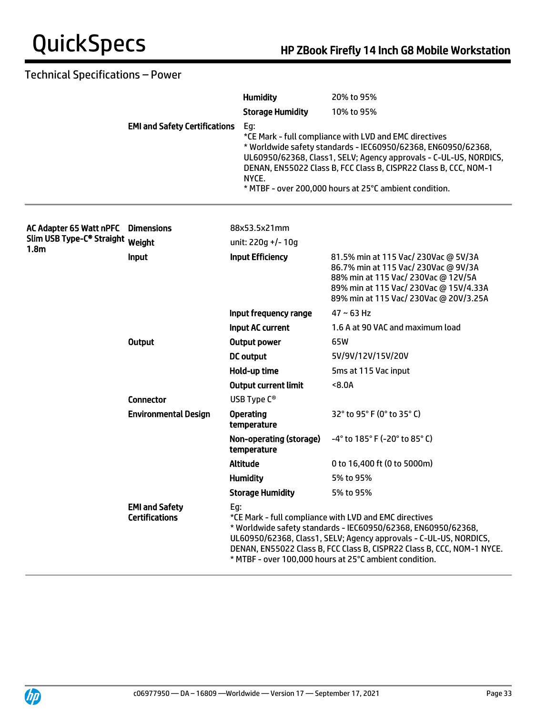# Technical Specifications – Power

|                                              |                                                | <b>Humidity</b>                                                                                                                                                                                                                                                                                                                         | 20% to 95%                                                                                                                                                                                                                                                                                                                 |
|----------------------------------------------|------------------------------------------------|-----------------------------------------------------------------------------------------------------------------------------------------------------------------------------------------------------------------------------------------------------------------------------------------------------------------------------------------|----------------------------------------------------------------------------------------------------------------------------------------------------------------------------------------------------------------------------------------------------------------------------------------------------------------------------|
|                                              |                                                | <b>Storage Humidity</b>                                                                                                                                                                                                                                                                                                                 | 10% to 95%                                                                                                                                                                                                                                                                                                                 |
|                                              | <b>EMI and Safety Certifications</b>           | Eg:<br>NYCE.                                                                                                                                                                                                                                                                                                                            | *CE Mark - full compliance with LVD and EMC directives<br>* Worldwide safety standards - IEC60950/62368, EN60950/62368,<br>UL60950/62368, Class1, SELV; Agency approvals - C-UL-US, NORDICS,<br>DENAN, EN55022 Class B, FCC Class B, CISPR22 Class B, CCC, NOM-1<br>* MTBF - over 200,000 hours at 25°C ambient condition. |
| AC Adapter 65 Watt nPFC                      | <b>Dimensions</b>                              | 88x53.5x21mm                                                                                                                                                                                                                                                                                                                            |                                                                                                                                                                                                                                                                                                                            |
| Slim USB Type-C <sup>®</sup> Straight Weight |                                                | unit: 220g +/- 10g                                                                                                                                                                                                                                                                                                                      |                                                                                                                                                                                                                                                                                                                            |
| 1.8 <sub>m</sub>                             | <b>Input</b>                                   | <b>Input Efficiency</b>                                                                                                                                                                                                                                                                                                                 | 81.5% min at 115 Vac/ 230Vac @ 5V/3A<br>86.7% min at 115 Vac/ 230Vac @ 9V/3A<br>88% min at 115 Vac/ 230Vac @ 12V/5A<br>89% min at 115 Vac/ 230Vac @ 15V/4.33A<br>89% min at 115 Vac/ 230Vac @ 20V/3.25A                                                                                                                    |
|                                              |                                                | Input frequency range                                                                                                                                                                                                                                                                                                                   | $47 \sim 63$ Hz                                                                                                                                                                                                                                                                                                            |
|                                              |                                                | Input AC current                                                                                                                                                                                                                                                                                                                        | 1.6 A at 90 VAC and maximum load                                                                                                                                                                                                                                                                                           |
|                                              | <b>Output</b>                                  | <b>Output power</b>                                                                                                                                                                                                                                                                                                                     | 65W                                                                                                                                                                                                                                                                                                                        |
|                                              |                                                | <b>DC</b> output                                                                                                                                                                                                                                                                                                                        | 5V/9V/12V/15V/20V                                                                                                                                                                                                                                                                                                          |
|                                              |                                                | Hold-up time                                                                                                                                                                                                                                                                                                                            | 5ms at 115 Vac input                                                                                                                                                                                                                                                                                                       |
|                                              |                                                | <b>Output current limit</b>                                                                                                                                                                                                                                                                                                             | 8.0A                                                                                                                                                                                                                                                                                                                       |
|                                              | <b>Connector</b>                               | USB Type C <sup>®</sup>                                                                                                                                                                                                                                                                                                                 |                                                                                                                                                                                                                                                                                                                            |
|                                              | <b>Environmental Design</b>                    | <b>Operating</b><br>temperature                                                                                                                                                                                                                                                                                                         | 32° to 95° F (0° to 35° C)                                                                                                                                                                                                                                                                                                 |
|                                              |                                                | Non-operating (storage)<br>temperature                                                                                                                                                                                                                                                                                                  | $-4^{\circ}$ to 185 $^{\circ}$ F (-20 $^{\circ}$ to 85 $^{\circ}$ C)                                                                                                                                                                                                                                                       |
|                                              |                                                | <b>Altitude</b>                                                                                                                                                                                                                                                                                                                         | 0 to 16,400 ft (0 to 5000m)                                                                                                                                                                                                                                                                                                |
|                                              |                                                | <b>Humidity</b>                                                                                                                                                                                                                                                                                                                         | 5% to 95%                                                                                                                                                                                                                                                                                                                  |
|                                              |                                                | <b>Storage Humidity</b>                                                                                                                                                                                                                                                                                                                 | 5% to 95%                                                                                                                                                                                                                                                                                                                  |
|                                              | <b>EMI and Safety</b><br><b>Certifications</b> | Eg:<br>*CE Mark - full compliance with LVD and EMC directives<br>* Worldwide safety standards - IEC60950/62368, EN60950/62368,<br>UL60950/62368, Class1, SELV; Agency approvals - C-UL-US, NORDICS,<br>DENAN, EN55022 Class B, FCC Class B, CISPR22 Class B, CCC, NOM-1 NYCE.<br>* MTBF - over 100,000 hours at 25°C ambient condition. |                                                                                                                                                                                                                                                                                                                            |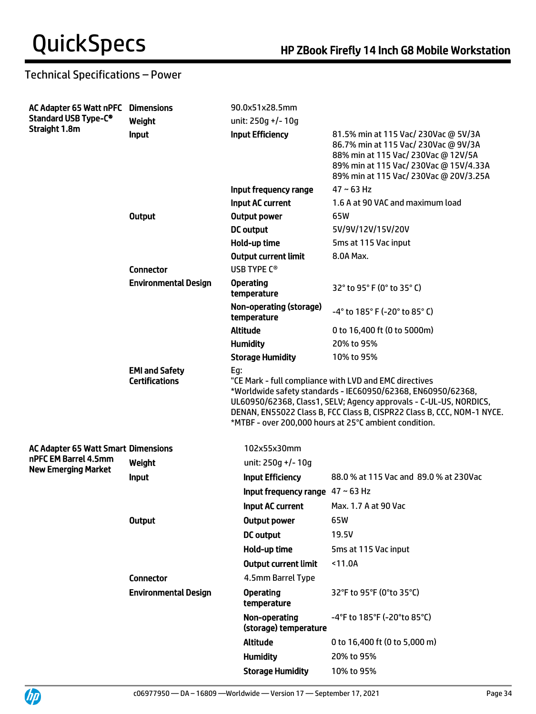# Technical Specifications – Power

| AC Adapter 65 Watt nPFC<br><b>Standard USB Type-C®</b><br>Straight 1.8m | <b>Dimensions</b>                              | 90.0x51x28.5mm                               |                                                                                                                                                                                                                                                                                                                                |
|-------------------------------------------------------------------------|------------------------------------------------|----------------------------------------------|--------------------------------------------------------------------------------------------------------------------------------------------------------------------------------------------------------------------------------------------------------------------------------------------------------------------------------|
|                                                                         | Weight                                         | unit: 250g +/- 10g                           |                                                                                                                                                                                                                                                                                                                                |
|                                                                         | Input                                          | <b>Input Efficiency</b>                      | 81.5% min at 115 Vac/ 230Vac @ 5V/3A<br>86.7% min at 115 Vac/ 230Vac @ 9V/3A<br>88% min at 115 Vac/ 230Vac @ 12V/5A<br>89% min at 115 Vac/ 230Vac @ 15V/4.33A<br>89% min at 115 Vac/ 230Vac @ 20V/3.25A                                                                                                                        |
|                                                                         |                                                | Input frequency range                        | $47 \sim 63$ Hz                                                                                                                                                                                                                                                                                                                |
|                                                                         |                                                | <b>Input AC current</b>                      | 1.6 A at 90 VAC and maximum load                                                                                                                                                                                                                                                                                               |
|                                                                         | <b>Output</b>                                  | <b>Output power</b>                          | 65W                                                                                                                                                                                                                                                                                                                            |
|                                                                         |                                                | <b>DC</b> output                             | 5V/9V/12V/15V/20V                                                                                                                                                                                                                                                                                                              |
|                                                                         |                                                | Hold-up time                                 | 5ms at 115 Vac input                                                                                                                                                                                                                                                                                                           |
|                                                                         |                                                | <b>Output current limit</b>                  | 8.0A Max.                                                                                                                                                                                                                                                                                                                      |
|                                                                         | <b>Connector</b>                               | USB TYPE C <sup>®</sup>                      |                                                                                                                                                                                                                                                                                                                                |
|                                                                         | <b>Environmental Design</b>                    | <b>Operating</b><br>temperature              | 32° to 95° F (0° to 35° C)                                                                                                                                                                                                                                                                                                     |
|                                                                         |                                                | Non-operating (storage)<br>temperature       | -4° to 185° F (-20° to 85° C)                                                                                                                                                                                                                                                                                                  |
|                                                                         |                                                | <b>Altitude</b>                              | 0 to 16,400 ft (0 to 5000m)                                                                                                                                                                                                                                                                                                    |
|                                                                         |                                                | <b>Humidity</b>                              | 20% to 95%                                                                                                                                                                                                                                                                                                                     |
|                                                                         |                                                | <b>Storage Humidity</b>                      | 10% to 95%                                                                                                                                                                                                                                                                                                                     |
|                                                                         | <b>EMI and Safety</b><br><b>Certifications</b> | Eg:                                          | "CE Mark - full compliance with LVD and EMC directives<br>*Worldwide safety standards - IEC60950/62368, EN60950/62368,<br>UL60950/62368, Class1, SELV; Agency approvals - C-UL-US, NORDICS,<br>DENAN, EN55022 Class B, FCC Class B, CISPR22 Class B, CCC, NOM-1 NYCE.<br>*MTBF - over 200,000 hours at 25°C ambient condition. |
| <b>AC Adapter 65 Watt Smart Dimensions</b>                              |                                                | 102x55x30mm                                  |                                                                                                                                                                                                                                                                                                                                |
| nPFC EM Barrel 4.5mm                                                    | Weight                                         | unit: 250q +/- 10q                           |                                                                                                                                                                                                                                                                                                                                |
| <b>New Emerging Market</b>                                              | Input                                          | <b>Input Efficiency</b>                      | 88.0 % at 115 Vac and 89.0 % at 230Vac                                                                                                                                                                                                                                                                                         |
|                                                                         |                                                | Input frequency range $47 \sim 63$ Hz        |                                                                                                                                                                                                                                                                                                                                |
|                                                                         |                                                | <b>Input AC current</b> Max. 1.7 A at 90 Vac |                                                                                                                                                                                                                                                                                                                                |
|                                                                         | <b>Output</b>                                  | <b>Output power</b>                          | 65W                                                                                                                                                                                                                                                                                                                            |
|                                                                         |                                                | <b>DC</b> output                             | 19.5V                                                                                                                                                                                                                                                                                                                          |
|                                                                         |                                                | Hold-up time                                 | 5ms at 115 Vac input                                                                                                                                                                                                                                                                                                           |
|                                                                         |                                                | <b>Output current limit</b>                  | < 11.0A                                                                                                                                                                                                                                                                                                                        |
|                                                                         | <b>Connector</b>                               | 4.5mm Barrel Type                            |                                                                                                                                                                                                                                                                                                                                |
|                                                                         | <b>Environmental Design</b>                    | <b>Operating</b><br>temperature              | 32°F to 95°F (0°to 35°C)                                                                                                                                                                                                                                                                                                       |
|                                                                         |                                                | Non-operating<br>(storage) temperature       | -4°F to 185°F (-20°to 85°C)                                                                                                                                                                                                                                                                                                    |
|                                                                         |                                                | <b>Altitude</b>                              | 0 to 16,400 ft (0 to 5,000 m)                                                                                                                                                                                                                                                                                                  |
|                                                                         |                                                | <b>Humidity</b>                              | 20% to 95%                                                                                                                                                                                                                                                                                                                     |
|                                                                         |                                                | <b>Storage Humidity</b>                      | 10% to 95%                                                                                                                                                                                                                                                                                                                     |

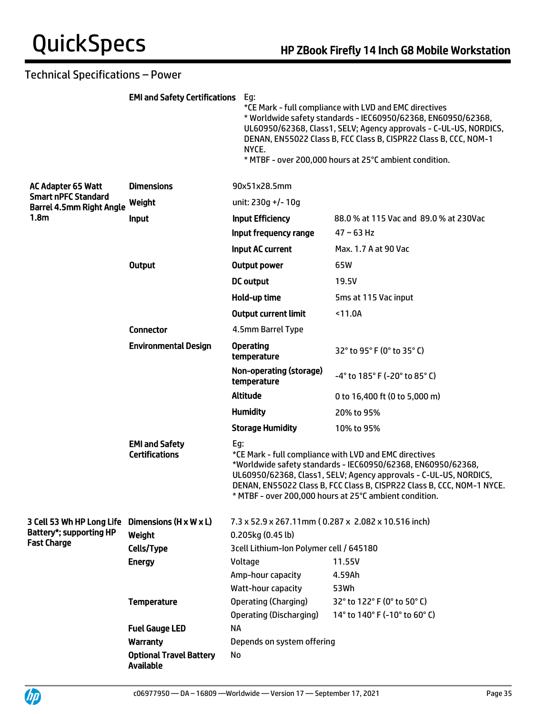# Technical Specifications – Power

|                                                               | <b>EMI and Safety Certifications</b> Eg:       | NYCE.                                               | *CE Mark - full compliance with LVD and EMC directives<br>* Worldwide safety standards - IEC60950/62368, EN60950/62368,<br>UL60950/62368, Class1, SELV; Agency approvals - C-UL-US, NORDICS,<br>DENAN, EN55022 Class B, FCC Class B, CISPR22 Class B, CCC, NOM-1<br>* MTBF - over 200,000 hours at 25°C ambient condition.      |  |
|---------------------------------------------------------------|------------------------------------------------|-----------------------------------------------------|---------------------------------------------------------------------------------------------------------------------------------------------------------------------------------------------------------------------------------------------------------------------------------------------------------------------------------|--|
| AC Adapter 65 Watt                                            | <b>Dimensions</b>                              | 90x51x28.5mm                                        |                                                                                                                                                                                                                                                                                                                                 |  |
| <b>Smart nPFC Standard</b><br><b>Barrel 4.5mm Right Angle</b> | Weight                                         | unit: 230q +/- 10q                                  |                                                                                                                                                                                                                                                                                                                                 |  |
| 1.8 <sub>m</sub>                                              | <b>Input</b>                                   | <b>Input Efficiency</b>                             | 88.0 % at 115 Vac and 89.0 % at 230Vac                                                                                                                                                                                                                                                                                          |  |
|                                                               |                                                | Input frequency range                               | $47 \sim 63$ Hz                                                                                                                                                                                                                                                                                                                 |  |
|                                                               |                                                | Input AC current                                    | Max. 1.7 A at 90 Vac                                                                                                                                                                                                                                                                                                            |  |
|                                                               | <b>Output</b>                                  | <b>Output power</b>                                 | 65W                                                                                                                                                                                                                                                                                                                             |  |
|                                                               |                                                | <b>DC</b> output                                    | 19.5V                                                                                                                                                                                                                                                                                                                           |  |
|                                                               |                                                | Hold-up time                                        | 5ms at 115 Vac input                                                                                                                                                                                                                                                                                                            |  |
|                                                               |                                                | <b>Output current limit</b>                         | < 11.0A                                                                                                                                                                                                                                                                                                                         |  |
|                                                               | <b>Connector</b>                               | 4.5mm Barrel Type                                   |                                                                                                                                                                                                                                                                                                                                 |  |
|                                                               | <b>Environmental Design</b>                    | <b>Operating</b><br>temperature                     | $32^{\circ}$ to 95 $^{\circ}$ F (0 $^{\circ}$ to 35 $^{\circ}$ C)                                                                                                                                                                                                                                                               |  |
|                                                               |                                                | Non-operating (storage)<br>temperature              | -4° to 185° F (-20° to 85° C)                                                                                                                                                                                                                                                                                                   |  |
|                                                               |                                                | <b>Altitude</b>                                     | 0 to 16,400 ft (0 to 5,000 m)                                                                                                                                                                                                                                                                                                   |  |
|                                                               |                                                | <b>Humidity</b>                                     | 20% to 95%                                                                                                                                                                                                                                                                                                                      |  |
|                                                               |                                                | <b>Storage Humidity</b>                             | 10% to 95%                                                                                                                                                                                                                                                                                                                      |  |
|                                                               | <b>EMI and Safety</b><br><b>Certifications</b> | Eg:                                                 | *CE Mark - full compliance with LVD and EMC directives<br>*Worldwide safety standards - IEC60950/62368, EN60950/62368,<br>UL60950/62368, Class1, SELV; Agency approvals - C-UL-US, NORDICS,<br>DENAN, EN55022 Class B, FCC Class B, CISPR22 Class B, CCC, NOM-1 NYCE.<br>* MTBF - over 200,000 hours at 25°C ambient condition. |  |
| 3 Cell 53 Wh HP Long Life                                     | Dimensions $(H \times W \times L)$             | 7.3 x 52.9 x 267.11mm (0.287 x 2.082 x 10.516 inch) |                                                                                                                                                                                                                                                                                                                                 |  |
| <b>Battery*; supporting HP</b>                                | Weight                                         | 0.205kg (0.45 lb)                                   |                                                                                                                                                                                                                                                                                                                                 |  |
| <b>Fast Charge</b>                                            | Cells/Type                                     | 3cell Lithium-Ion Polymer cell / 645180             |                                                                                                                                                                                                                                                                                                                                 |  |
|                                                               | <b>Energy</b>                                  | Voltage                                             | 11.55V                                                                                                                                                                                                                                                                                                                          |  |
|                                                               |                                                | Amp-hour capacity                                   | 4.59Ah                                                                                                                                                                                                                                                                                                                          |  |
|                                                               |                                                | Watt-hour capacity                                  | 53Wh                                                                                                                                                                                                                                                                                                                            |  |
|                                                               | <b>Temperature</b>                             | Operating (Charging)                                | 32° to 122° F (0° to 50° C)                                                                                                                                                                                                                                                                                                     |  |
|                                                               |                                                | <b>Operating (Discharging)</b><br><b>NA</b>         | 14° to 140° F (-10° to 60° C)                                                                                                                                                                                                                                                                                                   |  |
|                                                               | <b>Fuel Gauge LED</b><br><b>Warranty</b>       | Depends on system offering                          |                                                                                                                                                                                                                                                                                                                                 |  |
|                                                               | <b>Optional Travel Battery</b>                 | No                                                  |                                                                                                                                                                                                                                                                                                                                 |  |
|                                                               | <b>Available</b>                               |                                                     |                                                                                                                                                                                                                                                                                                                                 |  |

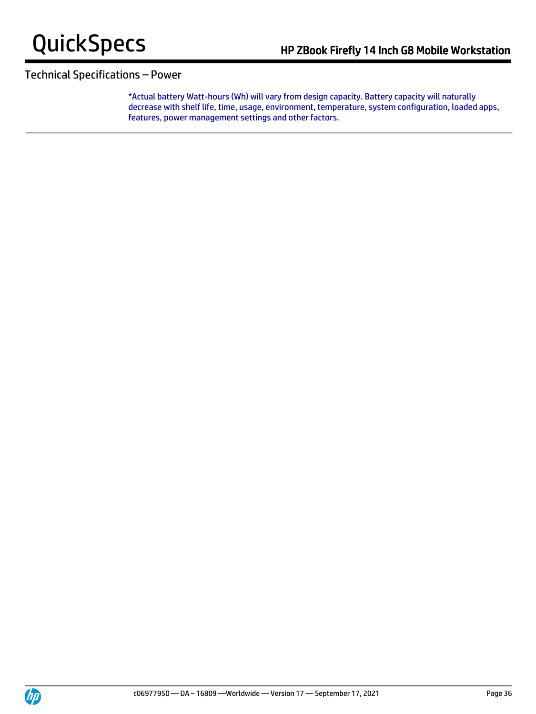

## Technical Specifications – Power

\*Actual battery Watt-hours (Wh) will vary from design capacity. Battery capacity will naturally decrease with shelf life, time, usage, environment, temperature, system configuration, loaded apps, features, power management settings and other factors.

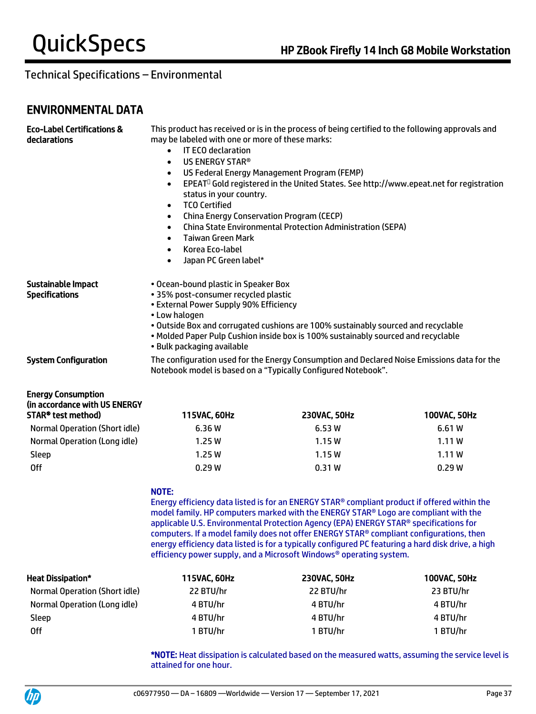# ENVIRONMENTAL DATA

| <b>Eco-Label Certifications &amp;</b><br>declarations                            | This product has received or is in the process of being certified to the following approvals and<br>may be labeled with one or more of these marks:<br><b>IT ECO declaration</b><br>$\bullet$<br>US ENERGY STAR <sup>®</sup><br>$\bullet$<br>US Federal Energy Management Program (FEMP)<br>$\bullet$<br>EPEAT <sup>O</sup> Gold registered in the United States. See http://www.epeat.net for registration<br>$\bullet$<br>status in your country.<br><b>TCO Certified</b><br>$\bullet$<br><b>China Energy Conservation Program (CECP)</b><br>$\bullet$<br><b>China State Environmental Protection Administration (SEPA)</b><br>$\bullet$<br><b>Taiwan Green Mark</b><br>$\bullet$<br>Korea Eco-label<br>$\bullet$<br>Japan PC Green label*<br>$\bullet$ |                                                                                                                                                                        |              |
|----------------------------------------------------------------------------------|-----------------------------------------------------------------------------------------------------------------------------------------------------------------------------------------------------------------------------------------------------------------------------------------------------------------------------------------------------------------------------------------------------------------------------------------------------------------------------------------------------------------------------------------------------------------------------------------------------------------------------------------------------------------------------------------------------------------------------------------------------------|------------------------------------------------------------------------------------------------------------------------------------------------------------------------|--------------|
| <b>Sustainable Impact</b><br><b>Specifications</b>                               | . Ocean-bound plastic in Speaker Box<br>• 35% post-consumer recycled plastic<br>• External Power Supply 90% Efficiency<br>• Low halogen<br>• Bulk packaging available                                                                                                                                                                                                                                                                                                                                                                                                                                                                                                                                                                                     | . Outside Box and corrugated cushions are 100% sustainably sourced and recyclable<br>. Molded Paper Pulp Cushion inside box is 100% sustainably sourced and recyclable |              |
| <b>System Configuration</b>                                                      | The configuration used for the Energy Consumption and Declared Noise Emissions data for the<br>Notebook model is based on a "Typically Configured Notebook".                                                                                                                                                                                                                                                                                                                                                                                                                                                                                                                                                                                              |                                                                                                                                                                        |              |
| <b>Energy Consumption</b><br>(in accordance with US ENERGY<br>STAR® test method) | 115VAC, 60Hz                                                                                                                                                                                                                                                                                                                                                                                                                                                                                                                                                                                                                                                                                                                                              | 230VAC, 50Hz                                                                                                                                                           | 100VAC, 50Hz |

|                               | .      | ----------- | .      |
|-------------------------------|--------|-------------|--------|
| Normal Operation (Short idle) | 6.36 W | 6.53W       | 6.61 W |
| Normal Operation (Long idle)  | 1.25W  | 1.15W       | 1.11W  |
| Sleep                         | 1.25W  | 1.15W       | 1.11W  |
| Off                           | 0.29W  | 0.31W       | 0.29W  |
|                               |        |             |        |

#### NOTE:

Energy efficiency data listed is for an ENERGY STAR® compliant product if offered within the model family. HP computers marked with the ENERGY STAR® Logo are compliant with the applicable U.S. Environmental Protection Agency (EPA) ENERGY STAR® specifications for computers. If a model family does not offer ENERGY STAR® compliant configurations, then energy efficiency data listed is for a typically configured PC featuring a hard disk drive, a high efficiency power supply, and a Microsoft Windows® operating system.

| <b>Heat Dissipation*</b>      | 115VAC, 60Hz | 230VAC, 50Hz | 100VAC, 50Hz |
|-------------------------------|--------------|--------------|--------------|
| Normal Operation (Short idle) | 22 BTU/hr    | 22 BTU/hr    | 23 BTU/hr    |
| Normal Operation (Long idle)  | 4 BTU/hr     | 4 BTU/hr     | 4 BTU/hr     |
| Sleep                         | 4 BTU/hr     | 4 BTU/hr     | 4 BTU/hr     |
| 0ff                           | 1 BTU/hr     | 1 BTU/hr     | 1 BTU/hr     |

\*NOTE: Heat dissipation is calculated based on the measured watts, assuming the service level is attained for one hour.

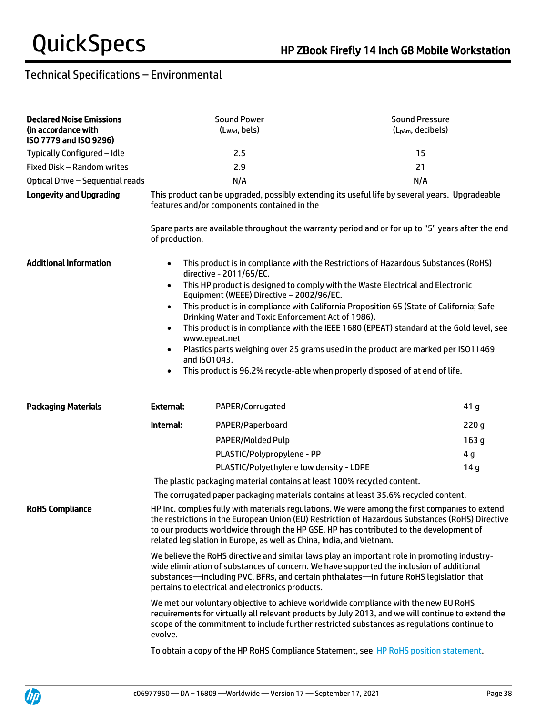| <b>Declared Noise Emissions</b><br>(in accordance with<br>ISO 7779 and ISO 9296) |                                                                                                                                                                                                                                                                                                                                                                      | <b>Sound Power</b><br>(Lwad, bels)                                      | <b>Sound Pressure</b><br>(L <sub>pAm</sub> , decibels)                                            |
|----------------------------------------------------------------------------------|----------------------------------------------------------------------------------------------------------------------------------------------------------------------------------------------------------------------------------------------------------------------------------------------------------------------------------------------------------------------|-------------------------------------------------------------------------|---------------------------------------------------------------------------------------------------|
| Typically Configured - Idle                                                      |                                                                                                                                                                                                                                                                                                                                                                      | 2.5                                                                     | 15                                                                                                |
| Fixed Disk - Random writes                                                       | 2.9                                                                                                                                                                                                                                                                                                                                                                  |                                                                         | 21                                                                                                |
| Optical Drive - Sequential reads                                                 |                                                                                                                                                                                                                                                                                                                                                                      | N/A                                                                     | N/A                                                                                               |
| <b>Longevity and Upgrading</b>                                                   |                                                                                                                                                                                                                                                                                                                                                                      | features and/or components contained in the                             | This product can be upgraded, possibly extending its useful life by several years. Upgradeable    |
|                                                                                  | of production.                                                                                                                                                                                                                                                                                                                                                       |                                                                         | Spare parts are available throughout the warranty period and or for up to "5" years after the end |
| <b>Additional Information</b>                                                    | $\bullet$                                                                                                                                                                                                                                                                                                                                                            | directive - 2011/65/EC.                                                 | This product is in compliance with the Restrictions of Hazardous Substances (RoHS)                |
|                                                                                  | This HP product is designed to comply with the Waste Electrical and Electronic<br>$\bullet$<br>Equipment (WEEE) Directive - 2002/96/EC.<br>This product is in compliance with California Proposition 65 (State of California; Safe<br>٠<br>Drinking Water and Toxic Enforcement Act of 1986).                                                                        |                                                                         |                                                                                                   |
|                                                                                  |                                                                                                                                                                                                                                                                                                                                                                      |                                                                         |                                                                                                   |
|                                                                                  | This product is in compliance with the IEEE 1680 (EPEAT) standard at the Gold level, see<br>٠<br>www.epeat.net                                                                                                                                                                                                                                                       |                                                                         |                                                                                                   |
|                                                                                  | ٠<br>and ISO1043.                                                                                                                                                                                                                                                                                                                                                    |                                                                         | Plastics parts weighing over 25 grams used in the product are marked per ISO11469                 |
|                                                                                  | $\bullet$                                                                                                                                                                                                                                                                                                                                                            |                                                                         | This product is 96.2% recycle-able when properly disposed of at end of life.                      |
| <b>Packaging Materials</b>                                                       | <b>External:</b>                                                                                                                                                                                                                                                                                                                                                     | PAPER/Corrugated                                                        | 41 g                                                                                              |
|                                                                                  | Internal:                                                                                                                                                                                                                                                                                                                                                            | PAPER/Paperboard                                                        | 220g                                                                                              |
|                                                                                  |                                                                                                                                                                                                                                                                                                                                                                      | <b>PAPER/Molded Pulp</b>                                                | 163 g                                                                                             |
|                                                                                  |                                                                                                                                                                                                                                                                                                                                                                      | PLASTIC/Polypropylene - PP                                              | 4 <sub>g</sub>                                                                                    |
|                                                                                  |                                                                                                                                                                                                                                                                                                                                                                      | PLASTIC/Polyethylene low density - LDPE                                 | 14 g                                                                                              |
|                                                                                  |                                                                                                                                                                                                                                                                                                                                                                      | The plastic packaging material contains at least 100% recycled content. |                                                                                                   |
|                                                                                  |                                                                                                                                                                                                                                                                                                                                                                      |                                                                         | The corrugated paper packaging materials contains at least 35.6% recycled content.                |
| <b>RoHS Compliance</b>                                                           | HP Inc. complies fully with materials regulations. We were among the first companies to extend<br>the restrictions in the European Union (EU) Restriction of Hazardous Substances (RoHS) Directive<br>to our products worldwide through the HP GSE. HP has contributed to the development of<br>related legislation in Europe, as well as China, India, and Vietnam. |                                                                         |                                                                                                   |
|                                                                                  | We believe the RoHS directive and similar laws play an important role in promoting industry-<br>wide elimination of substances of concern. We have supported the inclusion of additional<br>substances—including PVC, BFRs, and certain phthalates—in future RoHS legislation that<br>pertains to electrical and electronics products.                               |                                                                         |                                                                                                   |
|                                                                                  | We met our voluntary objective to achieve worldwide compliance with the new EU RoHS<br>requirements for virtually all relevant products by July 2013, and we will continue to extend the<br>scope of the commitment to include further restricted substances as regulations continue to<br>evolve.                                                                   |                                                                         |                                                                                                   |
|                                                                                  | To obtain a copy of the HP RoHS Compliance Statement, see HP RoHS position statement.                                                                                                                                                                                                                                                                                |                                                                         |                                                                                                   |

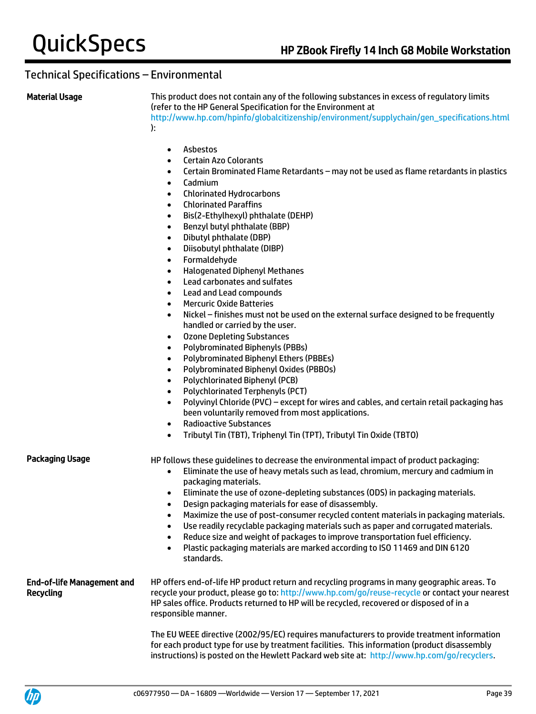Material Usage This product does not contain any of the following substances in excess of regulatory limits (refer to the HP General Specification for the Environment at [http://www.hp.com/hpinfo/globalcitizenship/environment/supplychain/gen\\_specifications.html](http://www.hp.com/hpinfo/globalcitizenship/environment/supplychain/gen_specifications.html) ):

- Asbestos
- Certain Azo Colorants
- Certain Brominated Flame Retardants may not be used as flame retardants in plastics
- Cadmium
- Chlorinated Hydrocarbons
- Chlorinated Paraffins
- Bis(2-Ethylhexyl) phthalate (DEHP)
- Benzyl butyl phthalate (BBP)
- Dibutyl phthalate (DBP)
- Diisobutyl phthalate (DIBP)
- Formaldehyde
- Halogenated Diphenyl Methanes
- Lead carbonates and sulfates
- Lead and Lead compounds
- Mercuric Oxide Batteries
- Nickel finishes must not be used on the external surface designed to be frequently handled or carried by the user.
- Ozone Depleting Substances
- Polybrominated Biphenyls (PBBs)
- Polybrominated Biphenyl Ethers (PBBEs)
- Polybrominated Biphenyl Oxides (PBBOs)
- Polychlorinated Biphenyl (PCB)
- Polychlorinated Terphenyls (PCT)
- Polyvinyl Chloride (PVC) except for wires and cables, and certain retail packaging has been voluntarily removed from most applications.
- Radioactive Substances
- Tributyl Tin (TBT), Triphenyl Tin (TPT), Tributyl Tin Oxide (TBTO)

Packaging Usage HP follows these guidelines to decrease the environmental impact of product packaging:

- Eliminate the use of heavy metals such as lead, chromium, mercury and cadmium in packaging materials.
- Eliminate the use of ozone-depleting substances (ODS) in packaging materials.
- Design packaging materials for ease of disassembly.
- Maximize the use of post-consumer recycled content materials in packaging materials.
- Use readily recyclable packaging materials such as paper and corrugated materials.
- Reduce size and weight of packages to improve transportation fuel efficiency.
- Plastic packaging materials are marked according to ISO 11469 and DIN 6120 standards.

End-of-life Management and Recycling HP offers end-of-life HP product return and recycling programs in many geographic areas. To recycle your product, please go to:<http://www.hp.com/go/reuse-recycle> or contact your nearest HP sales office. Products returned to HP will be recycled, recovered or disposed of in a responsible manner.

> The EU WEEE directive (2002/95/EC) requires manufacturers to provide treatment information for each product type for use by treatment facilities. This information (product disassembly instructions) is posted on the Hewlett Packard web site at: [http://www.hp.com/go/recyclers.](http://www.hp.com/go/recyclers)

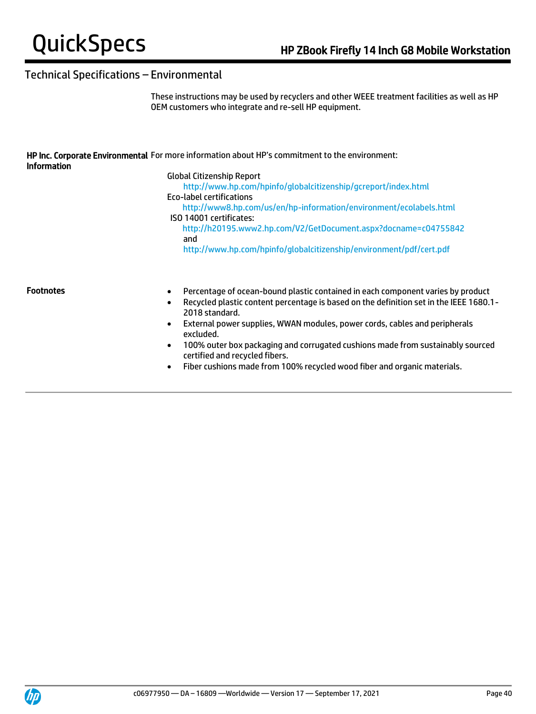These instructions may be used by recyclers and other WEEE treatment facilities as well as HP OEM customers who integrate and re-sell HP equipment.

|                    | HP Inc. Corporate Environmental For more information about HP's commitment to the environment: |
|--------------------|------------------------------------------------------------------------------------------------|
| <b>Information</b> |                                                                                                |
|                    | Global Citizenship Report                                                                      |

<http://www.hp.com/hpinfo/globalcitizenship/gcreport/index.html> Eco-label certifications <http://www8.hp.com/us/en/hp-information/environment/ecolabels.html> ISO 14001 certificates: <http://h20195.www2.hp.com/V2/GetDocument.aspx?docname=c04755842> and <http://www.hp.com/hpinfo/globalcitizenship/environment/pdf/cert.pdf>

- Footnotes Percentage of ocean-bound plastic contained in each component varies by product
	- Recycled plastic content percentage is based on the definition set in the IEEE 1680.1- 2018 standard.
	- External power supplies, WWAN modules, power cords, cables and peripherals excluded.
	- 100% outer box packaging and corrugated cushions made from sustainably sourced certified and recycled fibers.
	- Fiber cushions made from 100% recycled wood fiber and organic materials.